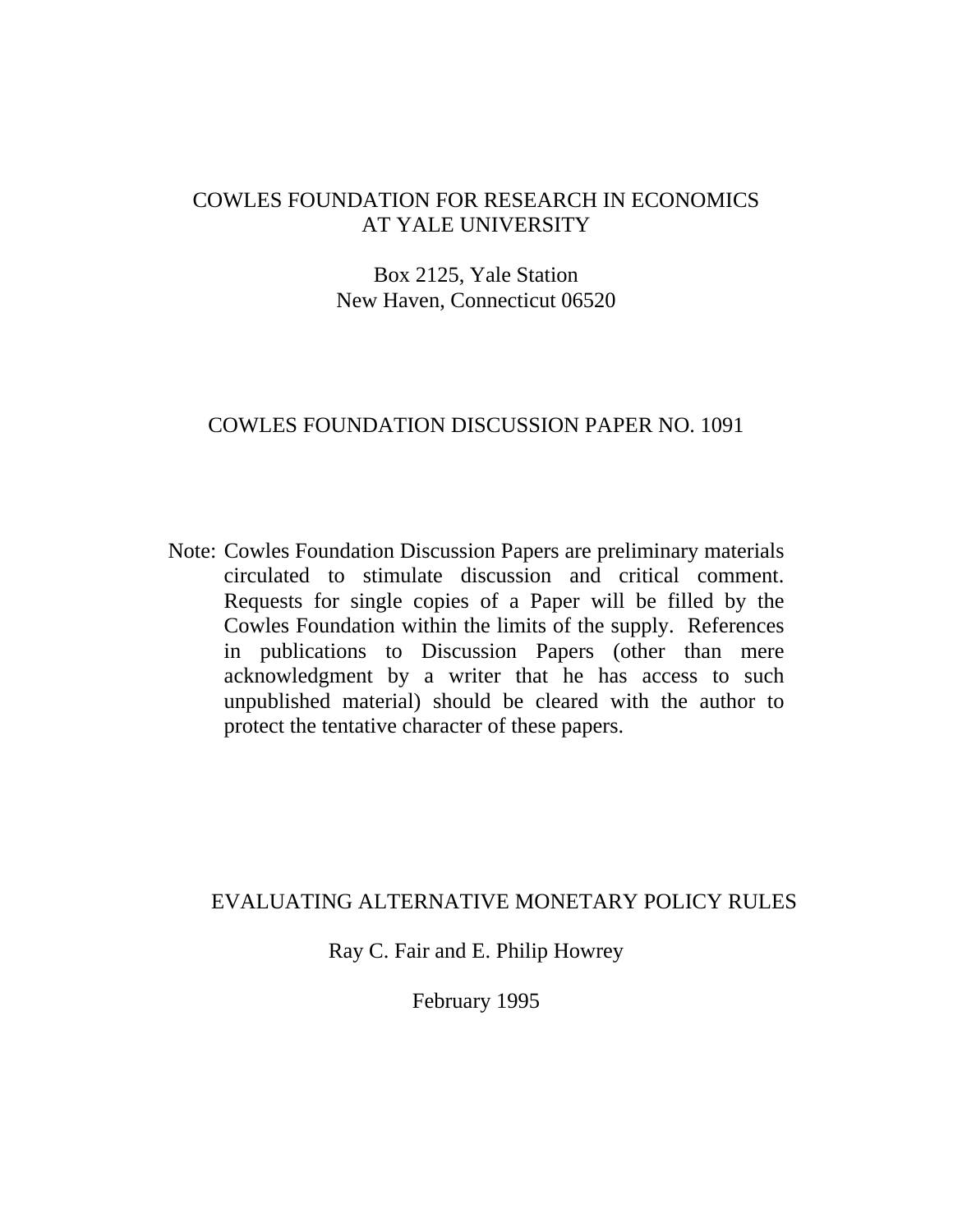# COWLES FOUNDATION FOR RESEARCH IN ECONOMICS AT YALE UNIVERSITY

# Box 2125, Yale Station New Haven, Connecticut 06520

# COWLES FOUNDATION DISCUSSION PAPER NO. 1091

Note: Cowles Foundation Discussion Papers are preliminary materials circulated to stimulate discussion and critical comment. Requests for single copies of a Paper will be filled by the Cowles Foundation within the limits of the supply. References in publications to Discussion Papers (other than mere acknowledgment by a writer that he has access to such unpublished material) should be cleared with the author to protect the tentative character of these papers.

## EVALUATING ALTERNATIVE MONETARY POLICY RULES

# Ray C. Fair and E. Philip Howrey

February 1995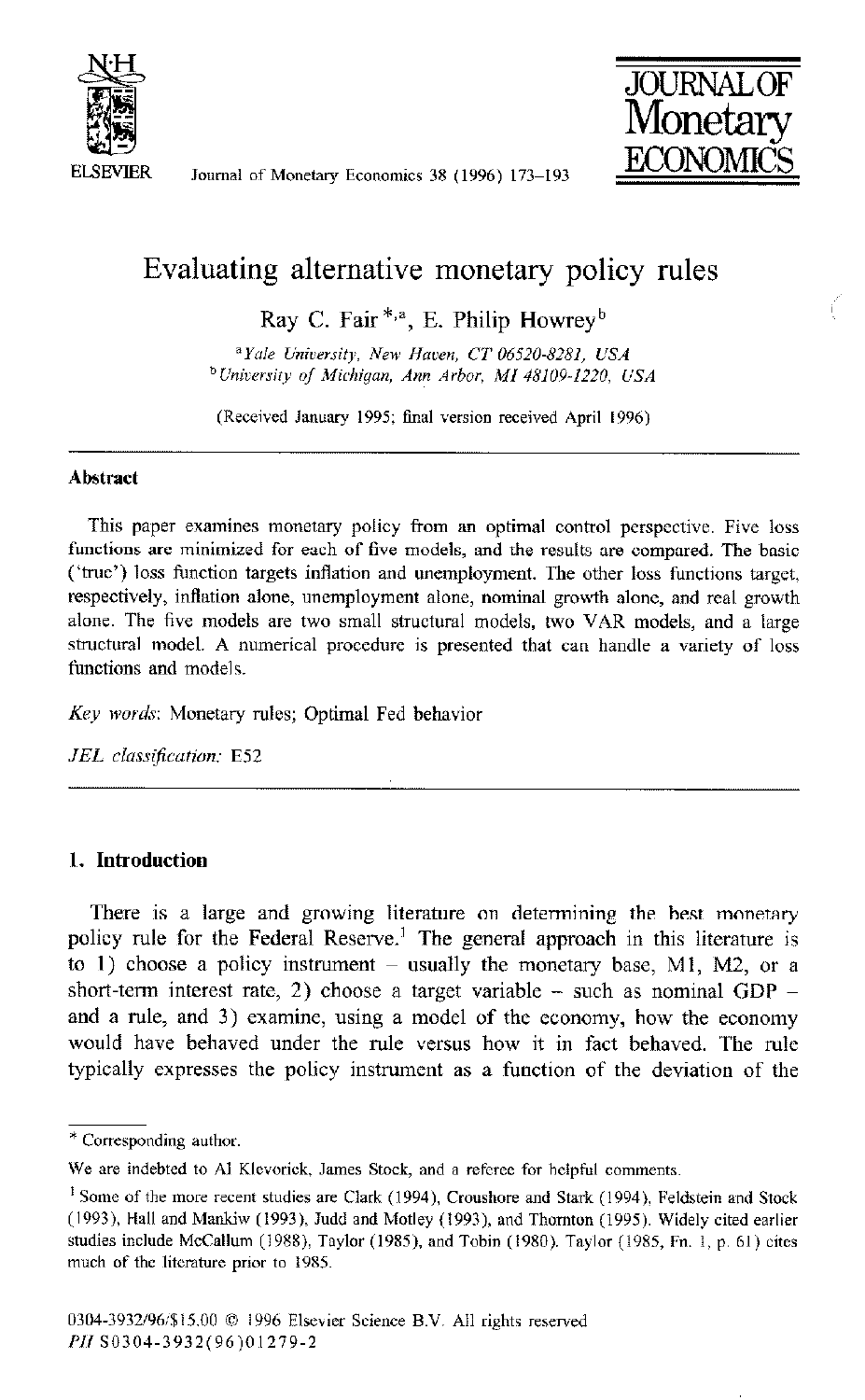

Journal of Monetary Economics 38 (1996) 173-193



# Evaluating alternative monetary policy rules

Ray C. Fair<sup>\*,a</sup>, E. Philip Howrey<sup>b</sup>

<sup>a</sup>Yale University, New Haven, CT 06520-8281, USA <sup>b</sup> University of Michigan, Ann Arbor, MI 48109-1220, USA

(Received January 1995; final version received April 1996)

### Abstract

This paper examines monetary policy from an optimal control perspective. Five loss functions arc minimized for each of five models, and the results are compared. The basic ('true') loss function targets inflation and unemployment. The other loss functions target, respectively, inflation alone, unemployment alone, nominal growth alone, and real growth alone. The five models are two small structural models, two VAR models, and a large structural model. A numerical procedure is presented that can handle a variety of loss functions and models.

Key words: Monetary rules; Optimal Fed behavior

JEL classification. E52

## 1. Introduction

There is a large and growing literature on determining the best monetary policy rule for the Federal Reserve.' The general approach in this literature is to 1) choose a policy instrument – usually the monetary base, M1, M2, or a short-term interest rate, 2) choose a target variable  $-$  such as nominal GDP  $$ and a rule, and 3) examine, using a model of the economy, how the economy would have behaved under the rule versus how it in fact behaved. The rule typically expresses the policy instrument as a function of the deviation of the

<sup>\*</sup> Corresponding author.

We are indebted to Al Klevorick, James Stock, and a referee for helpful comments.

<sup>&</sup>lt;sup>1</sup> Some of the more recent studies are Clark (1994), Croushore and Stark (1994), Feldstein and Stock (1993), Hall and Mankiw (1993), Judd and Motley (1993), and Thornton (1995). Widely cited earlier studies include McCallum (1988), Taylor (1985), and Tobin (1980). Taylor (1985, Fn. 1, p. 61) cites much of the literature prior to 1985.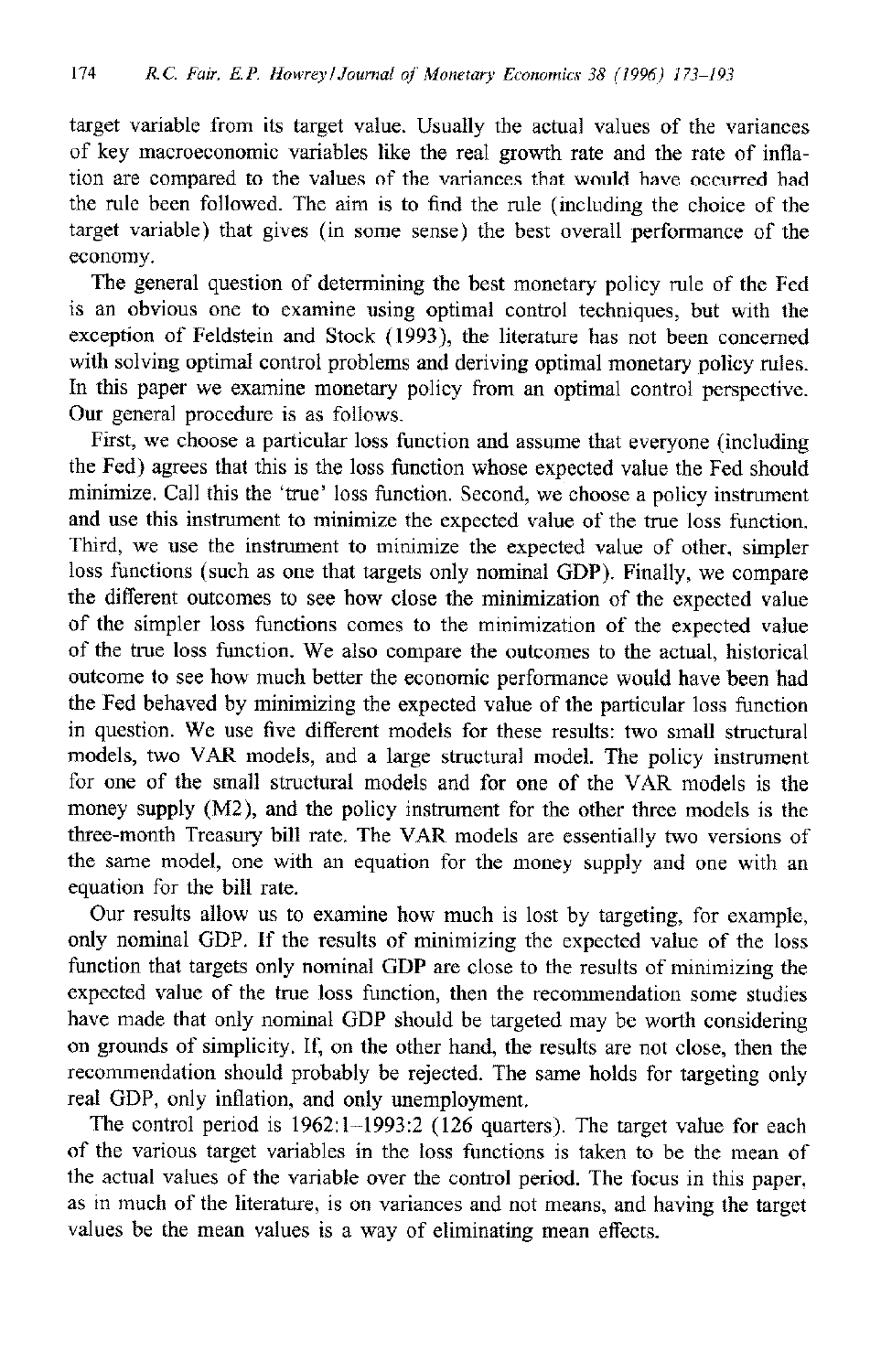target variable from its **target value.** Usually the actual values of the variances of key **macroeconomic** variables like the real growth rate and the rate of infktion are compared to the values of the variances that would have occurred had the rule been followed. The aim is to find the rule (including the choice of the target variable) that gives (in some sense) the best overall performance of the economy.

The general question of determining the best monetary policy rule of the Fed is an obvious one to examine using optimal control techniques, but with the exception of Feldstein and Stock (1993), the literature has not been concerned with solving optimal control problems and deriving optimal monetary policy rules. In this paper we examine monetary policy from an optimal control perspective. Our general procedure is as follows.

First, we choose a particular loss function and assume that everyone (including the Fed) agrees that this is the loss function whose expected value the Fed should minimize. Call this the 'true' loss function. Second, we choose a policy instrument and use this instrument to minimize the expected value of the true loss function. Third, we use the instrument to minimize the expected value of other, simpler loss functions (such as one that targets only nominal GDP). Finally, we compare the different outcomes to see how close the minimization of the expected value of the simpler loss functions comes to the minimization of the expected value of the true loss function. We also compare the outcomes to the actual, historical outcome to see how much better the economic performance would have been had the Fed behaved by minimizing the expected value of the particular loss function in question. We use five different models for these results: two small structural models, two VAR models, and a large structural model. The policy instrument for one of the small structural models and for one of the VAR models is the money supply (M2), and the policy instrument for the other three models is the three-month Treasuy bill rate. The **VAR** models are essentially two versions of the same model, one with an equation **for** the money supply and one with an equation for the bill rate.

Our results allow us to examine how much is lost by targeting, for example, only nominal GDP. If the results of minimizing the expected value of the loss function that targets only **nominal** GDP are close to the results of minimizing the expected value of the true loss function, then the recommendation some studies have made that only nominal GDP should be targeted may be worth considering on grounds of simplicity. If, on the other hand, the results are not close, then the recommendation should probably be rejected. The same holds for targeting only real GDP, only inflation, and only unemployment.

The control period is 1962:1-1993:2 (126 quarters). The target value for each of the various target variables in the loss functions is taken to be the mean of the actual values of the variable over the control period. The focus in this paper. as in much of the literature, is on variances and not means, and having the target values be the mean values is a way of eliminating mean effects.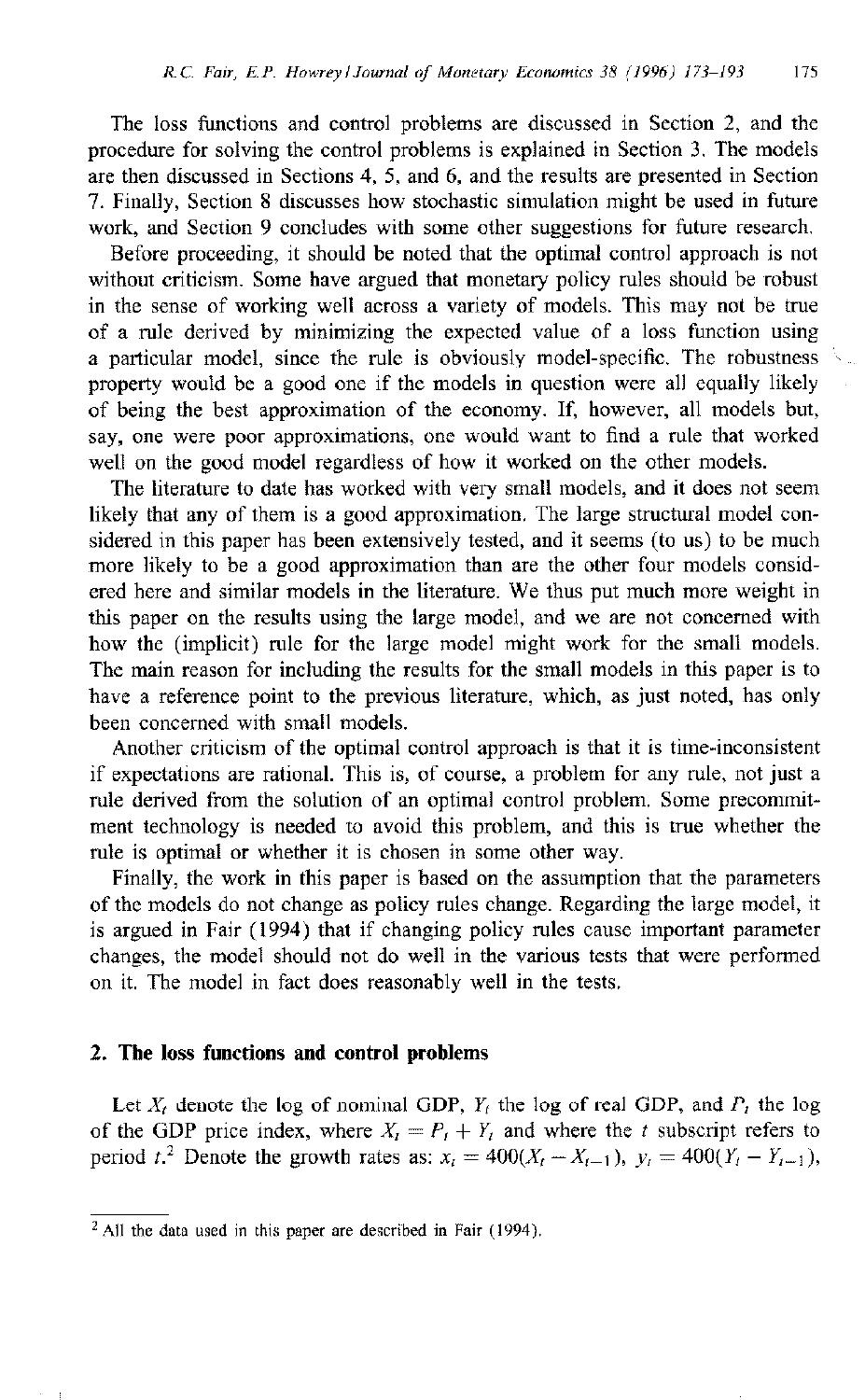The loss functions and control problems are discussed in Section 2, and the procedure for solving the control problems is explained in Section 3. The models are then discussed in Sections 4, 5, and 6, and the results are presented in Section 7. Finally, Section 8 discusses how stochastic simulation might be used in future work, and Section 9 concludes with some other suggestions for future research.

Before proceeding, it should be noted that the optima1 control approach is not without criticism. Some have argued that monetary policy rules should be robust in the sense of working well across a variety of models. This may not be true of a role derived by minimizing the expected value of a loss function using a particular model, since the rule is obviously model-specific. The robustness property would be a good one if the models in question were all equally likely of being the best approximation of the economy. If, however, all models but, say, one were poor approximations, one would want to find a rule that worked well on the good model regardless of how it worked on the other models.

The literature to date has worked with very small models, and it does not seem likely that any of them is a good approximation. The large structural model considered in this paper has been extensively tested, and it seems (to us) to be much more likely to be a good approximation than are the other four models considered here and similar models in the literature. We thus put much more **weight in this** paper on the results **using** the large model, and we are not concerned with how the (implicit) rule for the large model might work for the small models. The main reason for including the results for the small models in this paper is to have a reference point to the previous literature, which, as just noted, has only been concerned with small models.

Another criticism of the optimal control approach is that it is time-inconsistent if expectations are rational. This is, of course, a problem for any rule, not just a rule derived from the solution of an optimal control problem. Some precommitment technology is needed to avoid this problem, and this is true whether the rule is optimal or whether it is chosen in some other way.

Finally, the work in this paper is based on the assumption that the parameters of the models do not change as policy rules change. Regarding the large model, it is argued in Fair (1994) that if changing policy rules cause important parameter changes, the model should not do well in the various tests that were performed on it. The model in fact does reasonably well in the tests.

## 2. The loss **functions and control problems**

Let  $X_t$  denote the log of nominal GDP,  $Y_t$  the log of real GDP, and  $P_t$  the log of the GDP price index, where  $X_t = P_t + Y_t$  and where the t subscript refers to period  $t^2$ . Denote the growth rates as:  $x_t = 400(X_t - X_{t-1}), y_t = 400(Y_t - Y_{t-1}),$ 

 $2$  All the data used in this paper are described in Fair (1994).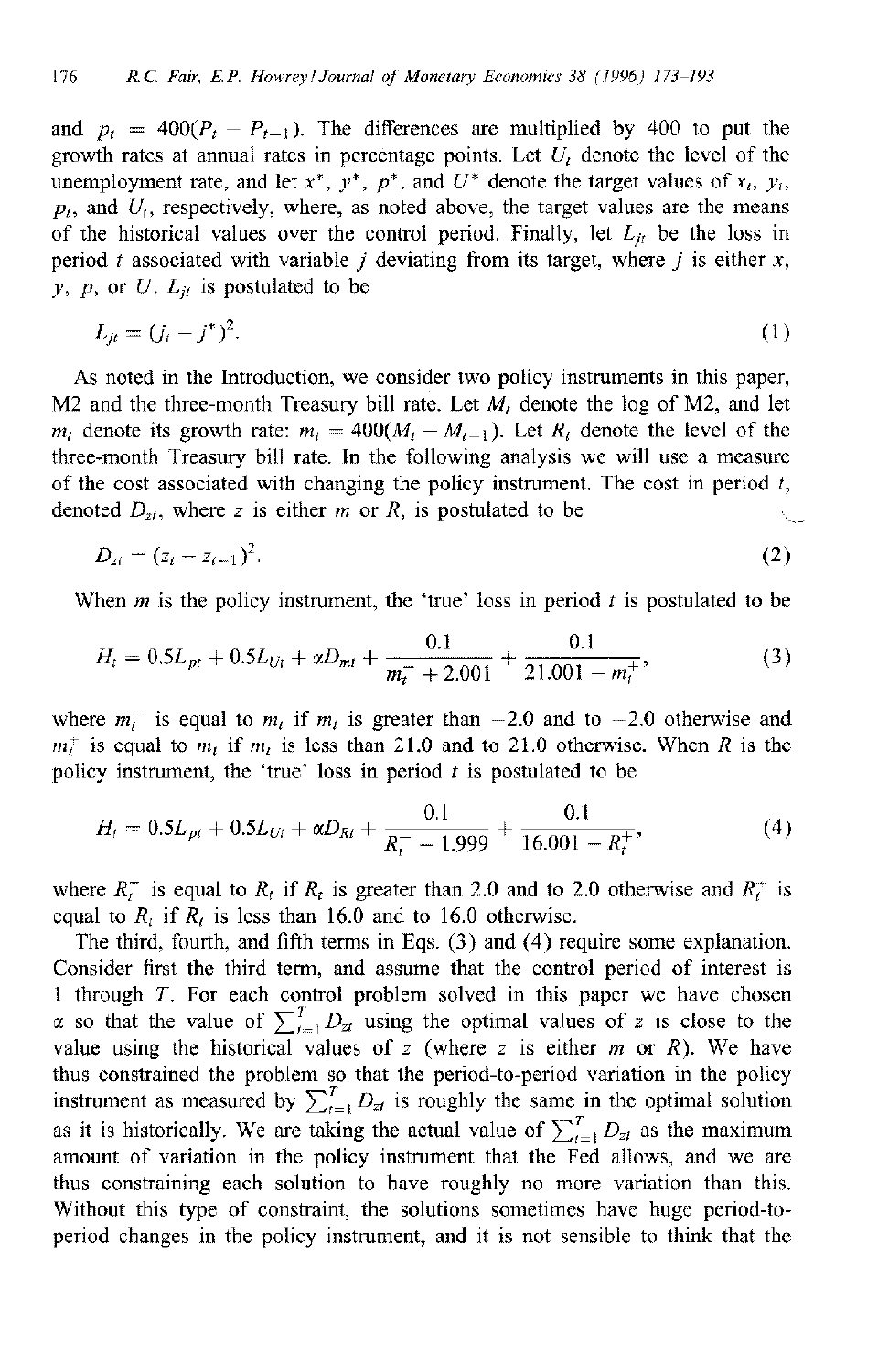and  $p_1 = 400(P_1 - P_{t-1})$ . The differences are multiplied by 400 to put the growth rates at annual rates in percentage points. Let  $U_i$  denote the level of the unemployment rate, and let  $x^*$ ,  $y^*$ ,  $p^*$ , and  $U^*$  denote the target values of  $x_t$ ,  $y_t$ ,  $p_i$ , and  $U_i$ , respectively, where, as noted above, the target values are the means of the historical values over the control period. Finally, let  $L_{it}$  be the loss in period t associated with variable j deviating from its target, where j is either  $x$ ,  $y, p,$  or U.  $L_{it}$  is postulated to be

$$
L_{jt} = (j_t - j^*)^2.
$$
 (1)

As noted in the Introduction, we consider two policy instruments in this paper, M2 and the three-month Treasury bill rate. Let  $M<sub>i</sub>$  denote the log of M2, and let  $m_t$  denote its growth rate:  $m_t = 400(M_t - M_{t-1})$ . Let  $R_t$  denote the level of the three-month Treasury bill rate. In the following analysis we will use a measure of the cost associated with changing the policy instrument. The cost in period  $t$ , denoted  $D_{zt}$ , where z is either m or R, is postulated to be  $\searrow$  .

$$
D_{zt} = (z_t - z_{t-1})^2
$$
 (2)

When  $m$  is the policy instrument, the 'true' loss in period  $t$  is postulated to be

$$
H_t = 0.5L_{pt} + 0.5L_{Ut} + \alpha D_{mt} + \frac{0.1}{m_t^- + 2.001} + \frac{0.1}{21.001 - m_t^+},
$$
\n(3)

where  $m_t^-$  is equal to  $m_t$  if  $m_t$  is greater than  $-2.0$  and to  $-2.0$  otherwise and  $m<sub>t</sub><sup>+</sup>$  is equal to  $m<sub>t</sub>$  if  $m<sub>t</sub>$  is less than 21.0 and to 21.0 otherwise. When *R* is the policy instrument, the 'true' loss in period  $t$  is postulated to be

$$
H_t = 0.5L_{pt} + 0.5L_{Ut} + \alpha D_{Rt} + \frac{0.1}{R_t^- - 1.999} + \frac{0.1}{16.001 - R_t^+},
$$
\n(4)

where  $R_t^-$  is equal to  $R_t$  if  $R_t$  is greater than 2.0 and to 2.0 otherwise and  $R_t^+$  is equal to  $R_i$  if  $R_i$  is less than 16.0 and to 16.0 otherwise.

The third, fourth, and fifth terms in Eqs. (3) and (4) require some explanation. Consider first the third term, and assume that the control period of interest is I through 7. For each control problem solved in this paper we have chosen  $\alpha$  so that the value of  $\sum_{i=1}^{T} D_{zt}$  using the optimal values of z is close to the value using the historical values of z (where z is either  $m$  or  $R$ ). We have thus constrained the problem so that the period-to-period variation in the policy instrument as measured by  $\sum_{t=1}^{T} D_{zt}$  is roughly the same in the optimal solution as it is historically. We are taking the actual value of  $\sum_{i=1}^{T} D_{zt}$  as the maximum amount of variation in the policy instrument that the Fed allows, and we are thus constraining each solution to have roughly no more variation than this. Without this type of constraint, the solutions sometimes have huge period-toperiod changes in the policy instrument, and it is not sensible to think that the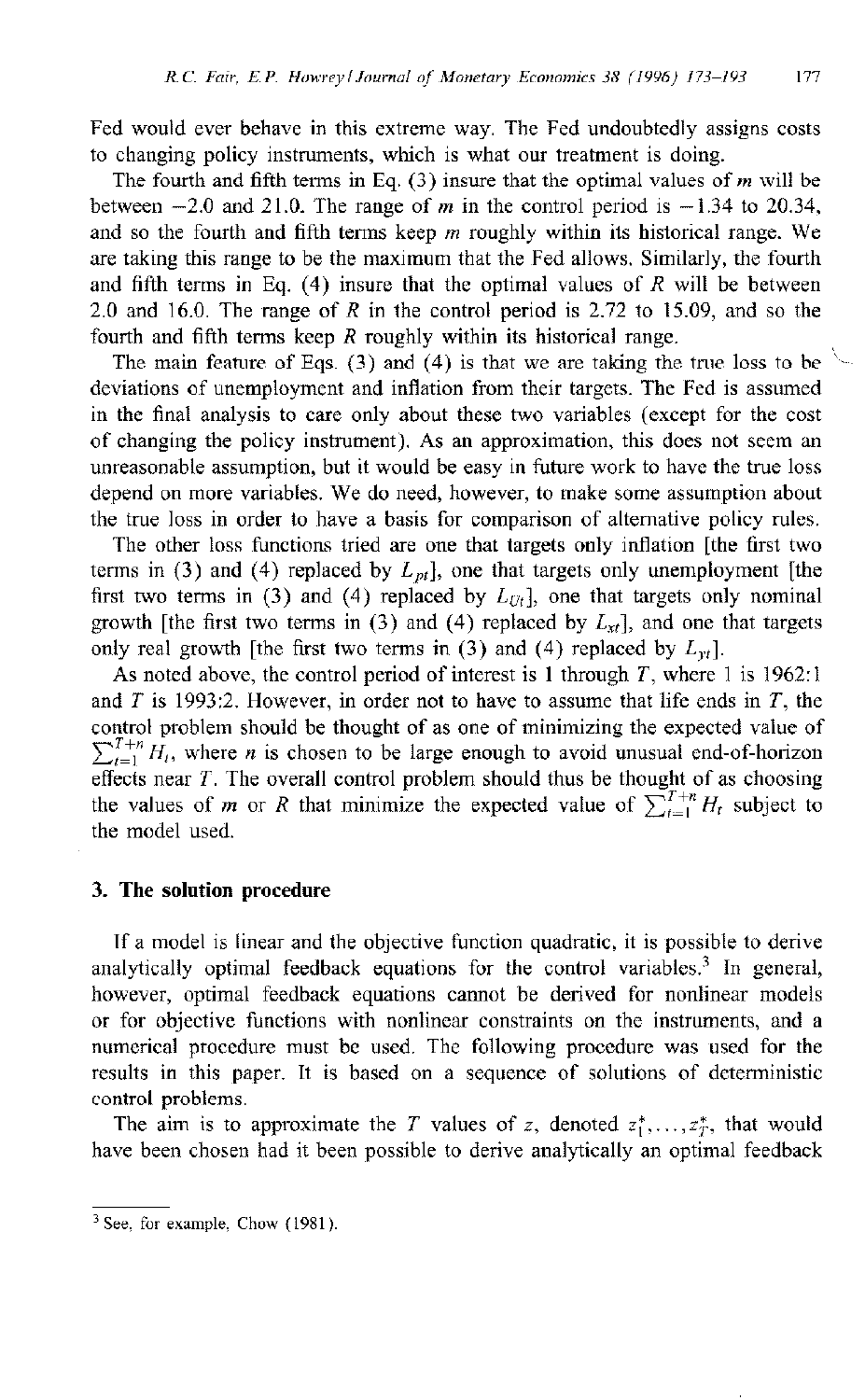Fed would ever behave in this extreme way. The Fed undoubtedly assigns costs to changing policy instruments, which is what our treatment is doing.

The fourth and fifth terms in Eq.  $(3)$  insure that the optimal values of m will be between  $-2.0$  and 21.0. The range of m in the control period is  $-1.34$  to 20.34, and so the fourth and fifth terms keep  $m$  roughly within its historical range. We are taking this range to be the maximum that the Fed allows. Similarly, the fourth and fifth terms in Eq.  $(4)$  insure that the optimal values of R will be between 2.0 and 16.0. **The range of R in** the control period is 2.72 to 15.09, and so the fourth and fifth terms keep  $R$  roughly within its historical range.

The main feature of Eqs. (3) and (4) is that we are taking the true loss to be deviations of unemployment and inflation from their targets. The Fed is assumed in the final analysis to care only about these two variables (except for the cost of changing the policy instroment). As an approximation. this does not seem an unreasonable assumption, but it would be easy in future work to have the true loss depend on more variables. We do need, however, to make some assumption about the true loss in order to have a basis for comparison of alternative policy rules.

The other loss timctions tried are one that targets only inflation [the first two terms in (3) and (4) replaced by  $L_{pt}$ , one that targets only unemployment [the first two terms in (3) and (4) replaced by  $L_{Ut}$ , one that targets only nominal growth [the first two terms in (3) and (4) replaced by  $L_{xt}$ ], and one that targets only real growth [the first two terms in (3) and (4) replaced by  $L_{vt}$ ].

As noted above, the control period of interest is 1 through *T,* where I is 1962:l and  $T$  is 1993:2. However, in order not to have to assume that life ends in  $T$ , the control problem should be thought of as one of minimizing the expected value of  $\sum_{t=1}^{T+n} H_t$ , where *n* is chosen to be large enough to avoid unusual end-of-horizon effects near *T.* The overall control problem should thus be thought of as choosing the values of *m* or *R* that minimize the expected value of  $\sum_{i=1}^{n} H_t$  subject to the model used.

## 3. **The** solution **procedure**

If a model is linear and the objective function quadratic, it is possible to derive analytically optimal feedback equations for the control variables.<sup>3</sup> In general, however, optimal feedback equations cannot be derived for nonlinear models or for objective functions with nonlinear constraints on the instruments, and a numerical procedure must be used. The following procedure was used for the results in this paper. It is based on a sequence of solutions of deterministic control problems.

The aim is to approximate the *T* values of *z*, denoted  $z_1^*, \ldots, z_T^*$ , that would have been chosen had it been possible to derive analytically an optimal feedback

 $3$  See, for example, Chow (1981).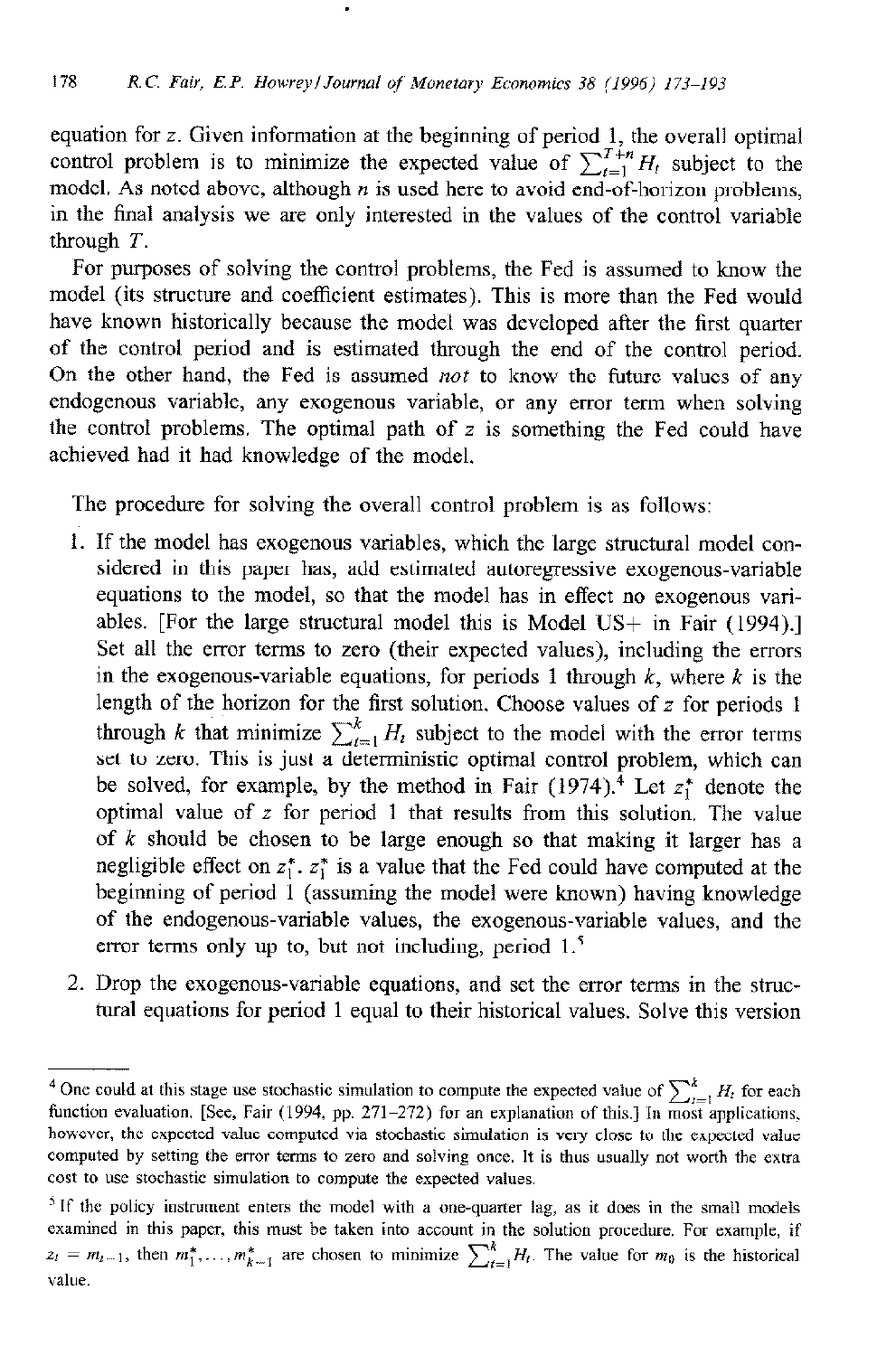equation for z. Given information at the beginning of period 1, the overall optimal control problem is to minimize the expected value of  $\sum_{i=1}^{n} H_i$  subject to the model. As noted above, although *n* is used here to avoid end-of-horizon problems. in the final analysis we are only interested in the values of the control variable through *T.* 

For purposes of solving the control problems, the Fed is assumed to know the model (its structure and coefficient estimates). This is more than the Fed would have known historically because the model was developed after the first quarter of the control period and is estimated through the end of the control period. On the other hand, the Fed is assumed *not* to know the future values of any endogenous variable, any exogenous variable, or any error term when solving the control problems. The optimal path of z is something the Fed could have achieved had it had knowledge of the model.

The procedure for solving the overall control problem is as follows:

- 1. If the model has exogenous variables, which the large stmctural model considered in this paper has, add estimated autoregressive exogenous-variable equations to the model, so that the model has in effect no exogenous variables. [For the large structural model this is Model US+ in Fair (1994).] Set all the error terms to zero (their expected values), including the errors in the exogenous-variable equations, **for** periods 1 through *k,* **where** *k* is the length of the horizon for the first solution. Choose values of z for periods I through k that minimize  $\sum_{t=1}^{k} H_t$  subject to the model with the error terms set to zero. This is just a deterministic optimal control problem, which can be solved, for example, by the method in Fair  $(1974)^4$ . Let  $z_1^*$  denote the optimal value of  $z$  for period 1 that results from this solution. The value of *k* should be chosen to be large enough so that making it larger has a negligible effect on  $z_1^*$ .  $z_1^*$  is a value that the Fed could have computed at the beginning of period I (assuming the model were known) having knowledge of the endogenous-variable values, the exogenous-variable values, and the error terms only up to, but not including, period  $1<sup>5</sup>$
- 2. Drop the exogenous-variable equations, and set the error terms in the structural equations for period 1 equal to their historical values. Solve this version

<sup>&</sup>lt;sup>4</sup> One could at this stage use stochastic simulation to compute the expected value of  $\sum_{i=1}^{k} H_i$  for each function evaluation. [See, Fair (1994, pp. 271-272) for an explanation of this.] In most applications, however, the expected value computed via stochastic simulation is very close to the expected value computed by setting the error terms to zero and solving once. It is thus usually not worth the extra cost to use stochastic simulation to compute the expected values.

<sup>&</sup>lt;sup>5</sup> If the policy instrument enters the model with a one-quarter lag, as it does in the small models examined in this paper, this must be taken into account in the solution procedure. For example, if  $z_l = m_{l-1}$ , then  $m_1^*$ ,...,  $m_{k-1}^*$  are chosen to minimize  $\sum_{t=1}^k H_l$ . The value for  $m_0$  is the historical value.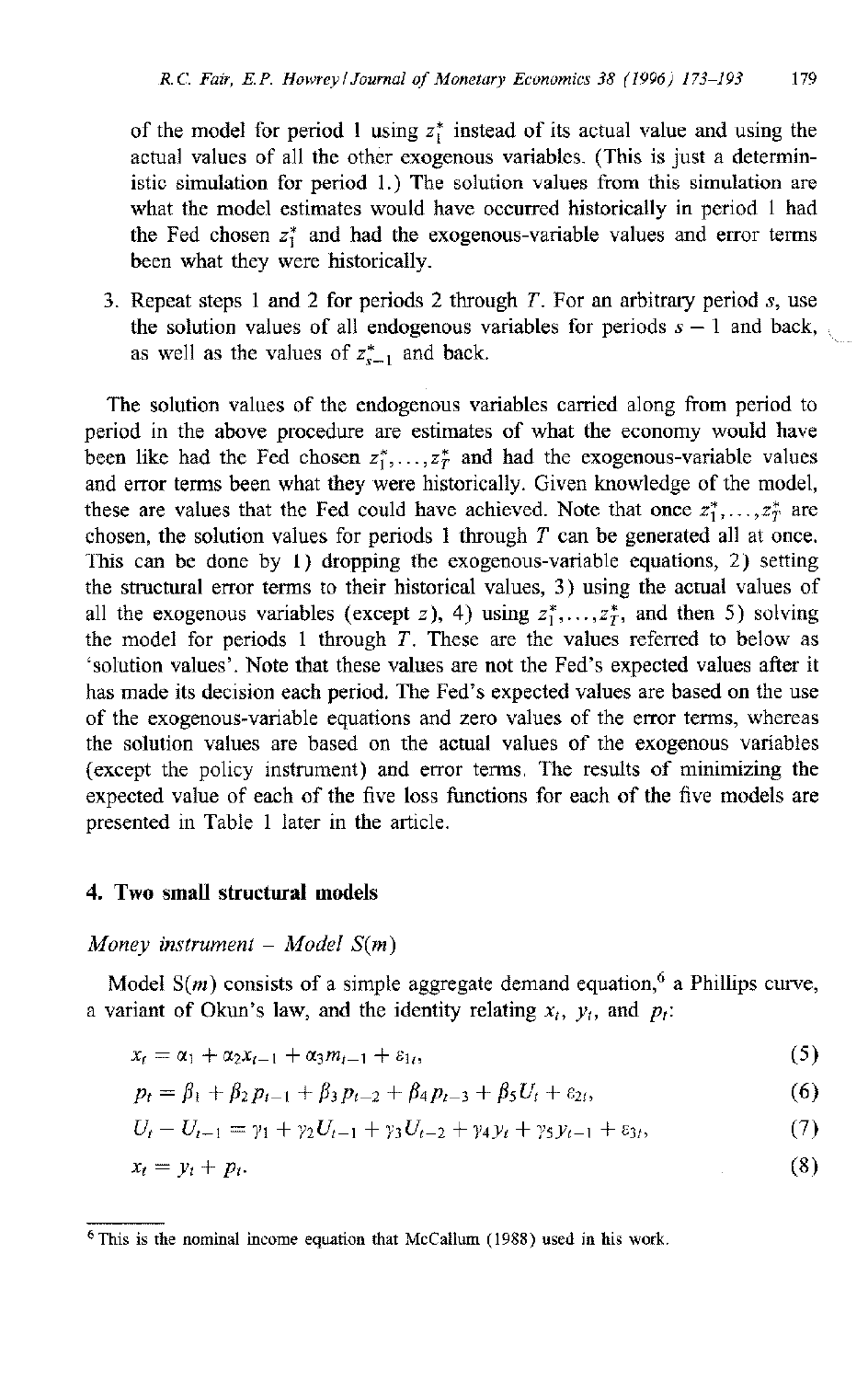of the model for period 1 using  $z_i^*$  instead of its actual value and using the actual values of all the other exogenous variables. (This is just a deterministic simulation for period 1.) The solution values from this simulation are what the model estimates would have occurred historically in period 1 had the Fed chosen  $z_1^*$  and had the exogenous-variable values and error terms been what they were historically.

3. Repeat steps 1 and 2 for periods 2 through *T*. For an arbitrary period *s*, use the solution values of all endogenous variables for periods  $s - 1$  and back, as well as the values of  $z_{n-1}^*$  and back.

The solution values of the endogenous variables carried along from period to period in the above procedure are estimates of what the economy would have been like had the Fed chosen  $z_1^*, \ldots, z_T^*$  and had the exogenous-variable values and error terms been what they were historically. Given knowledge of the model, these are values that the Fed could have achieved. Note that once  $z_1^*, \ldots, z_r^*$  are chosen, the solution values for periods 1 through  $T$  can be generated all at once. This can be done by 1) dropping the exogenous-variable equations, 2) setting the structural error terms to their historical values, 3) using the actual values of all the exogenous variables (except z), 4) using  $z_1^*, \ldots, z_T^*$ , and then 5) solving the model for periods 1 through  $T$ . These are the values referred to below as 'solution values'. Note that these values are not the Fed's expected values after it has made its decision each period. The Fed's expected values are based on the use of the exogenous-variable equations and zero values of the error terms, whereas the solution values are based on the actual values of the exogenous variables (except the policy instrument) and error terms. The results of minimizing the expected value of each of the five loss functions for each of the five models are presented in Table 1 later in the article.

### 4. Two small struchual **models**

#### *Money instrument – Model S(m)*

Model  $S(m)$  consists of a simple aggregate demand equation,<sup>6</sup> a Phillips curve, a variant of Okun's law, and the identity relating  $x_t$ ,  $y_t$ , and  $p_t$ :

$$
x_t = \alpha_1 + \alpha_2 x_{t-1} + \alpha_3 m_{t-1} + \varepsilon_{1t}, \tag{5}
$$

$$
p_t = \beta_1 + \beta_2 p_{t-1} + \beta_3 p_{t-2} + \beta_4 p_{t-3} + \beta_5 U_t + \varepsilon_{2t},
$$
\n(6)

$$
U_t - U_{t-1} = \gamma_1 + \gamma_2 U_{t-1} + \gamma_3 U_{t-2} + \gamma_4 \gamma_t + \gamma_5 \gamma_{t-1} + \varepsilon_{3t}, \tag{7}
$$

$$
x_t = y_t + p_t. \tag{8}
$$

<sup>&</sup>lt;sup>6</sup> This is the nominal income equation that McCallum (1988) used in his work.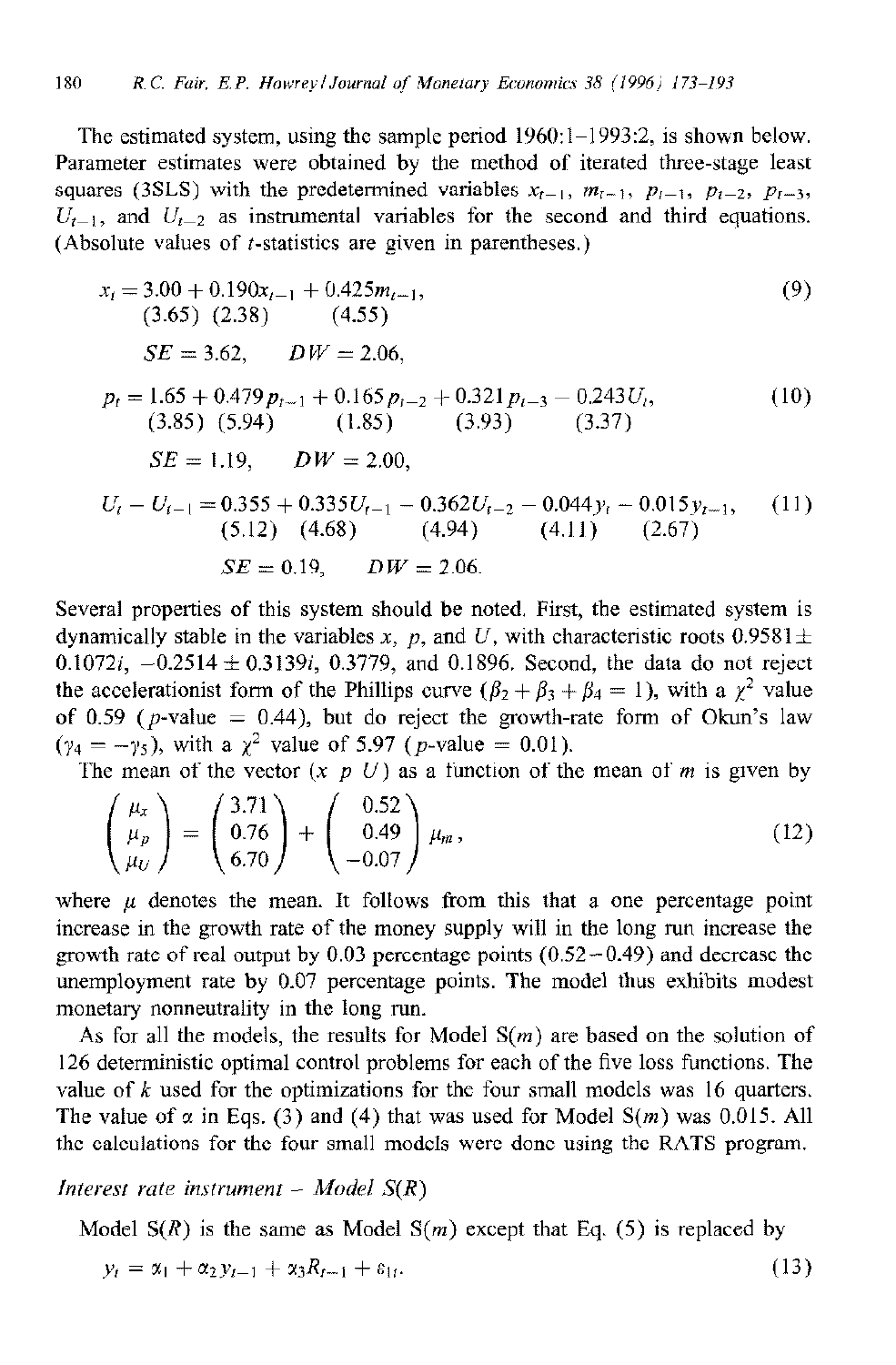The estimated system, using the sample period  $1960:1-1993:2$ , is shown below. Parameter estimates were obtained by the method of iterated three-stage least squares (3SLS) with the predetermined variables  $x_{t-1}$ ,  $m_{t-1}$ ,  $p_{t-1}$ ,  $p_{t-2}$ ,  $p_{t-3}$ ,  $U_{t-1}$ , and  $U_{t-2}$  as instrumental variables for the second and third equations. (Absolute values of *t*-statistics are given in parentheses.)

$$
x_{t} = 3.00 + 0.190x_{t-1} + 0.425m_{t-1},
$$
\n(3.65) (2.38) (4.55)  
\n
$$
SE = 3.62, \quad DW = 2.06,
$$
\n
$$
p_{t} = 1.65 + 0.479 p_{t-1} + 0.165 p_{t-2} + 0.321 p_{t-3} - 0.243 U_{t},
$$
\n(10)  
\n(3.85) (5.94) (1.85) (3.93) (3.37)  
\n
$$
SE = 1.19, \quad DW = 2.00,
$$
\n
$$
U_{t} - U_{t-1} = 0.355 + 0.335 U_{t-1} - 0.362 U_{t-2} - 0.044 y_{t} - 0.015 y_{t-1},
$$
\n(11)  
\n(5.12) (4.68) (4.94) (4.11) (2.67)  
\n
$$
SE = 0.19, \quad DW = 2.06.
$$

Several properties of this system should be noted. First, the estimated system is dynamically stable in the variables x, p, and U, with characteristic roots  $0.9581 \pm$ 0.1072i,  $-0.2514 \pm 0.3139i$ , 0.3779, and 0.1896. Second, the data do not reject the accelerationist form of the Phillips curve  $(\beta_2 + \beta_3 + \beta_4 = 1)$ , with a  $\chi^2$  value of 0.59 (*p*-value = 0.44), but do reject the growth-rate form of Okun's law  $(y_4 = -y_5)$ , with a  $\chi^2$  value of 5.97 (*p*-value = 0.01).

The mean of the vector  $(x, p, U)$  as a function of the mean of *m* is given by

$$
\begin{pmatrix} \mu_x \\ \mu_p \\ \mu_U \end{pmatrix} = \begin{pmatrix} 3.71 \\ 0.76 \\ 6.70 \end{pmatrix} + \begin{pmatrix} 0.52 \\ 0.49 \\ -0.07 \end{pmatrix} \mu_m, \tag{12}
$$

where  $\mu$  denotes the mean. It follows from this that a one percentage point **increase** in the growth rate of the money supply will in the long run increase the growth rate of real output by  $0.03$  percentage points  $(0.52 - 0.49)$  and decrease the unemployment rate by 0.07 percentage points. **The** model thus exhibits modest monetary nonneutrality in the long nm.

As for all the models, the results for Model  $S(m)$  are based on the solution of 126 deterministic optimal control problems for each of the five loss functions. The value of *k* used for the optimizations for the four small models was 16 quarters. The value of  $\alpha$  in Eqs. (3) and (4) that was used for Model S(m) was 0.015. All the calculations for the four small models were done using the RATS program.

## *Interest rate instrument - Model S(R)*

Model  $S(R)$  is the same as Model  $S(m)$  except that Eq. (5) is replaced by

$$
y_t = \alpha_1 + \alpha_2 y_{t-1} + \alpha_3 R_{t-1} + \varepsilon_{1t}.
$$
\n(13)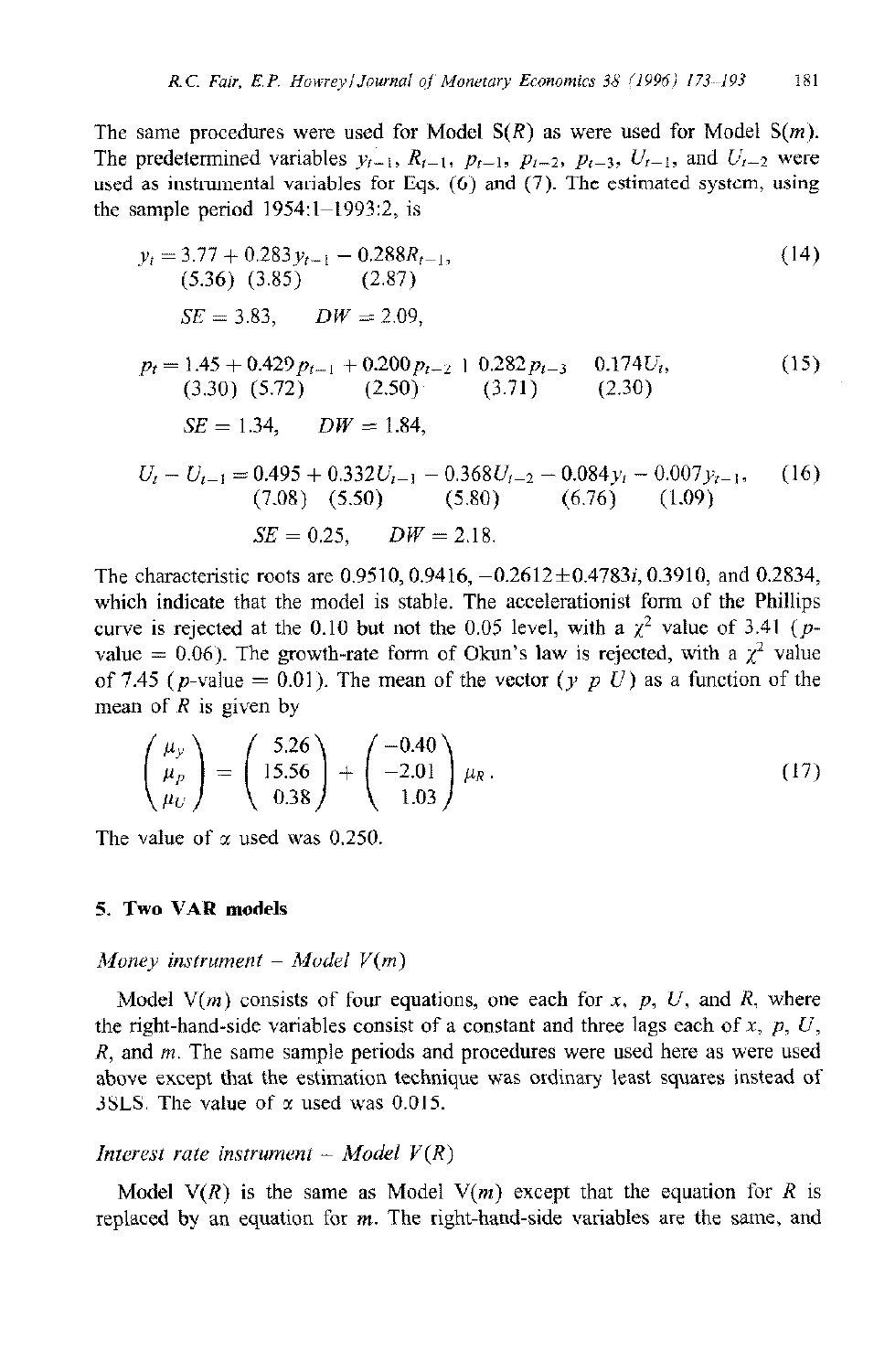The same procedures were used for Model  $S(R)$  as were used for Model  $S(m)$ . The predetermined variables  $y_{t-1}$ ,  $R_{t-1}$ ,  $p_{t-1}$ ,  $p_{t-2}$ ,  $p_{t-3}$ ,  $U_{t-1}$ , and  $U_{t-2}$  were used as instrumental variables for Eqs.  $(6)$  and  $(7)$ . The estimated system, using the sample period  $1954:1-1993:2$ . is

$$
y_{t} = 3.77 + 0.283 y_{t-1} - 0.288 R_{t-1},
$$
\n(14)  
\n(5.36) (3.85) (2.87)  
\n
$$
SE = 3.83, \quad DW = 2.09,
$$
\n
$$
p_{t} = 1.45 + 0.429 p_{t-1} + 0.200 p_{t-2} + 0.282 p_{t-3} - 0.174 U_{t},
$$
\n(15)  
\n(3.30) (5.72) (2.50) (3.71) (2.30)  
\n
$$
SE = 1.34, \quad DW = 1.84,
$$
\n
$$
U_{t} - U_{t-1} = 0.495 + 0.332 U_{t-1} - 0.368 U_{t-2} - 0.084 y_{t} - 0.007 y_{t-1},
$$
\n(16)  
\n(7.08) (5.50) (5.80)

$$
SE = 0.25
$$
,  $DW = 2.18$ .

The characteristic roots are  $0.9510$ ,  $0.9416$ ,  $-0.2612 \pm 0.4783i$ ,  $0.3910$ , and  $0.2834$ , which indicate that the model is stable. The accelerationist form of the Phillips curve is rejected at the 0.10 but not the 0.05 level, with a  $\chi^2$  value of 3.41 (pvalue = 0.06). The growth-rate form of Okun's law is rejected, with a  $\chi^2$  value of 7.45 (*p*-value = 0.01). The mean of the vector (*y* p U) as a function of the mean of  $R$  is given by

$$
\begin{pmatrix} \mu_y \\ \mu_p \\ \mu_U \end{pmatrix} = \begin{pmatrix} 5.26 \\ 15.56 \\ 0.38 \end{pmatrix} + \begin{pmatrix} -0.40 \\ -2.01 \\ 1.03 \end{pmatrix} \mu_R. \tag{17}
$$

The value of  $\alpha$  used was 0.250.

### 5. Two VAR models

#### Money instrument – Model  $V(m)$

Model  $V(m)$  consists of four equations, one each for x, p, U, and R, where the right-hand-side variables consist of a constant and three lags each of  $x$ ,  $p$ ,  $U$ ,  $R$ , and  $m$ . The same sample periods and procedures were used here as were used above except that the estimation technique was ordinary least squares instead of 3SLS. The value of  $\alpha$  used was 0.015.

### Interest rate instrument – Model  $V(R)$

Model  $V(R)$  is the same as Model  $V(m)$  except that the equation for R is replaced by an equation for  $m$ . The right-hand-side variables are the same, and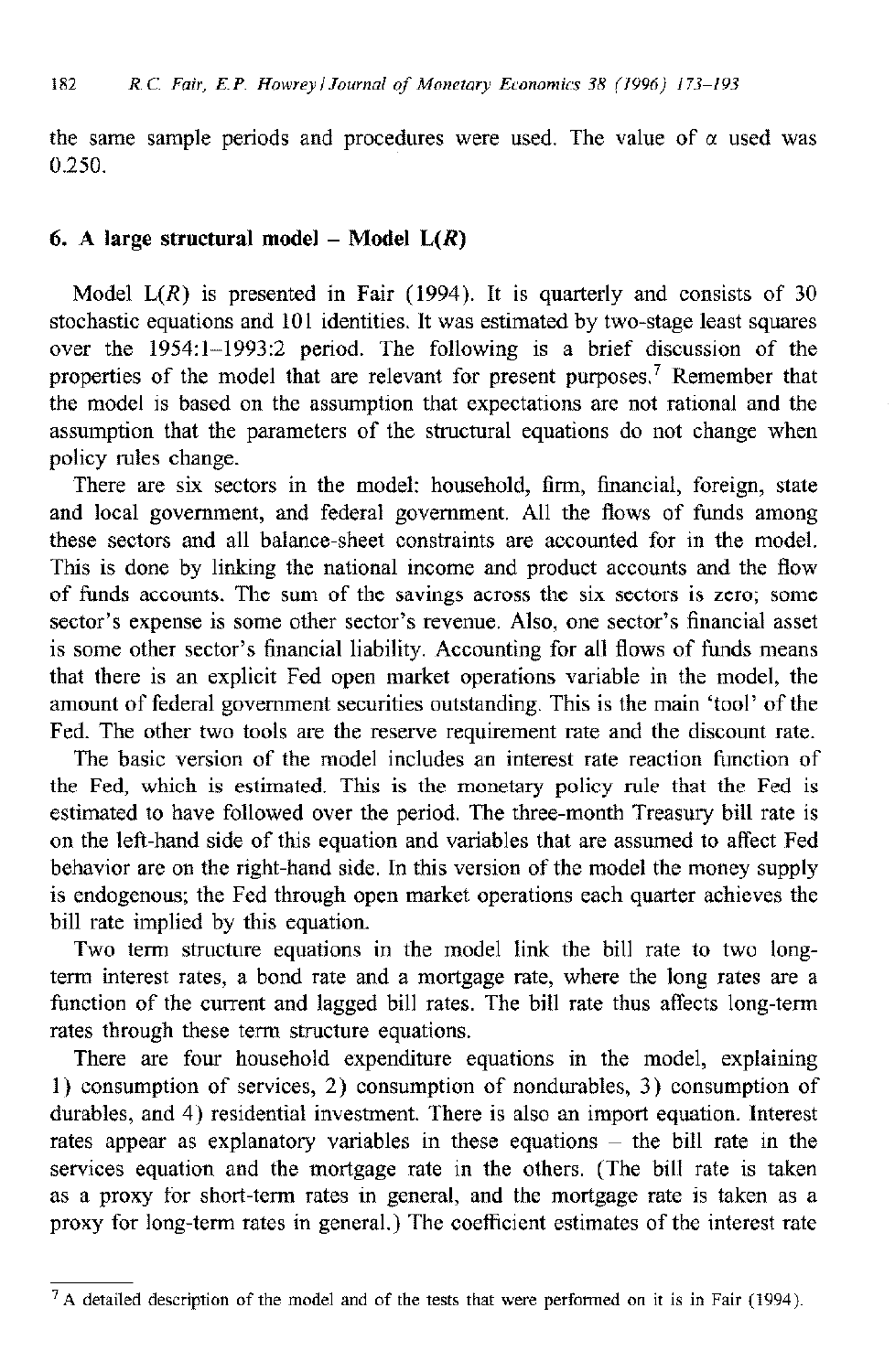the same sample periods and procedures were used. The value of  $\alpha$  used was  $0.250.$ 

## 6. A large structural model  $-$  Model  $L(R)$

Model  $L(R)$  is presented in Fair (1994). It is quarterly and consists of 30 stochastic equations and 101 identities. It was estimated by two-stage least squares over the 1954:1-1993:2 period. The following is a brief discussion of the properties of the model that are relevant for present purposes.' Remember that the model is based on the assumption that expectations are not rational and the assumption that the parameters of the structural equations do not change when policy rules change.

There are six sectors in the model: household, firm, financial, foreign, state and local government, and federal government. All the flows of funds among these sectors and all balance-sheet constraints are accounted for in the model. This is done by linking the national income and product accounts and the flow of funds accounts. The sum of the savings across the six sectors is zero; some sector's expense is some other sector's revenue. Also, one sector's financial asset is some other sector's financial liability. Accounting for all flows of funds means that there is an explicit Fed open market operations variable in the model, the amount of federal government securities outstanding. This is the main 'tool' of the Fed. The other two tools are the reserve requirement rate and the discount rate.

The basic version of the model includes an interest rate reaction function of the Fed, which is estimated. This is the monetary policy rule that the Fed is estimated to have followed over the period. The three-month Treasury bill rate is on the left-hand side of this equation and variables that are assumed to affect Fed behavior are on the right-hand side. In this version of the model the money supply is endogenous; the Fed through open market operations each quarter achieves the bill rate implied by this equation.

Two term structure equations in the model link the bill rate to two longterm interest rates, a bond rate and a mortgage rate, where the long rates are a function of the current and lagged bill rates. The bill rate thus affects long-term rates through these term structure equations.

There are four household expenditure equations in the model, explaining 1) consumption of services, 2) consumption of nondurables, 3) consumption of durables, and 4) residential investment. There is also an import equation. Interest rates appear as explanatory variables in these equations  $-$  the bill rate in the services equation and the mortgage rate in the others. (The bill rate is taken as a proxy for short-term rates in general, and the mortgage rate is taken as a proxy for long-term rates in general.) The coefficient estimates of the interest rate

 $7$  A detailed description of the model and of the tests that were performed on it is in Fair (1994).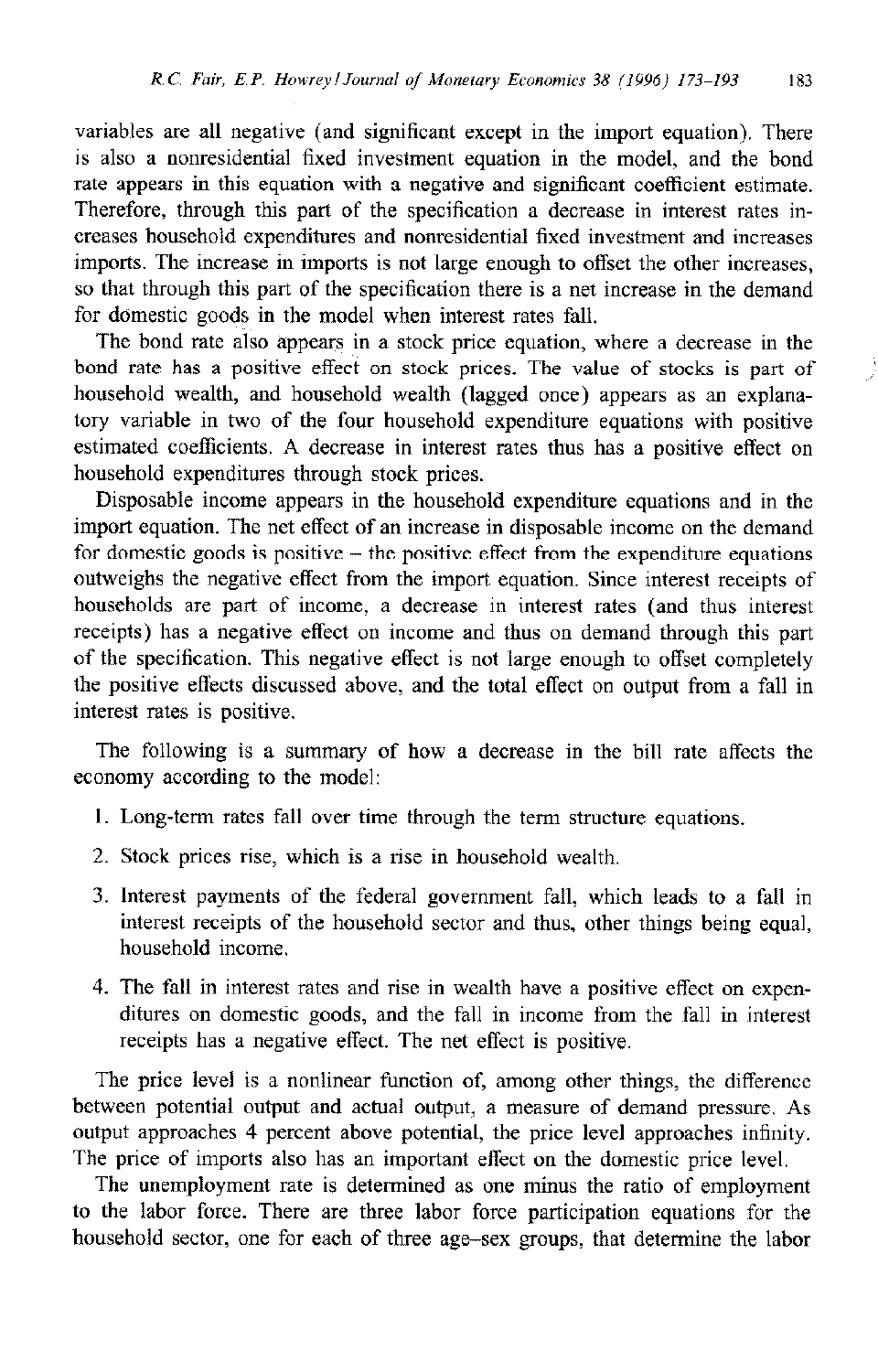variables are all negative (and significant except in the import equation). There is also a nonresidential fixed investment equation in the model, and the bond rate appears in this equation with a negative and significant coefficient estimate. Therefore, through this part of the specification a decrease in interest rates increases household expenditures and nonresidential fixed investment and increases imports. The increase in imports is not large enough to offset the other increases, so that through this part of the specification there is a net increase in the demand for domestic goods in the model when interest rates fall.

The bond rate also appears in a stock price equation, where a decrease in the bond rate has a positive effect on stock prices. The value of stocks is part of household wealth, and household wealth (lagged once) appears as an explanatory variable in two of the four household expenditure equations with positive estimated coefficients. A decrease in interest rates thus has a positive effect on household expenditures through stock prices.

Disposable income appears in the household expenditure equations and in the import equation. The net effect of an increase in disposable income on the demand for domestic goods is positive  $-$  the positive effect from the expenditure equations outweighs the negative effect from the import equation. Since interest receipts of households arc part of income, a decrease in interest rates (and thus interest receipts) has a negative effect on income and thus on demand through this part of the specification. This negative effect is not large enough to offset completely the positive effects discussed above, and the total effect on output from a fall in interest rates is positive.

The following is a summary of how a decrease in the bill rate affects the economy according to the model:

- I. Long-term rates fall over time through the term structure equations.
- 2. Stock prices rise, which is a rise in household wealth.
- 3. Interest payments of the federal government fall, which leads to a fall in interest receipts of the household sector and thus, other things being equal, household income.
- 4. The fall in interest rates and rise in wealth have a positive effect on expenditures on domestic goods, and the fall in income from the fall in interest receipts has a negative effect. The net effect is positive.

The price level is a nonlinear function of, among other things, the difference between potential output and actual output, a measure of demand pressure. As output approaches 4 percent above potential, the price level approaches infinity. The price of imports also has an important effect on the domestic price level.

The unemployment rate is determined as one minus the ratio of employment to the labor force. There are three labor force participation equations for the household sector, one for each of three age-sex groups, that determine the labor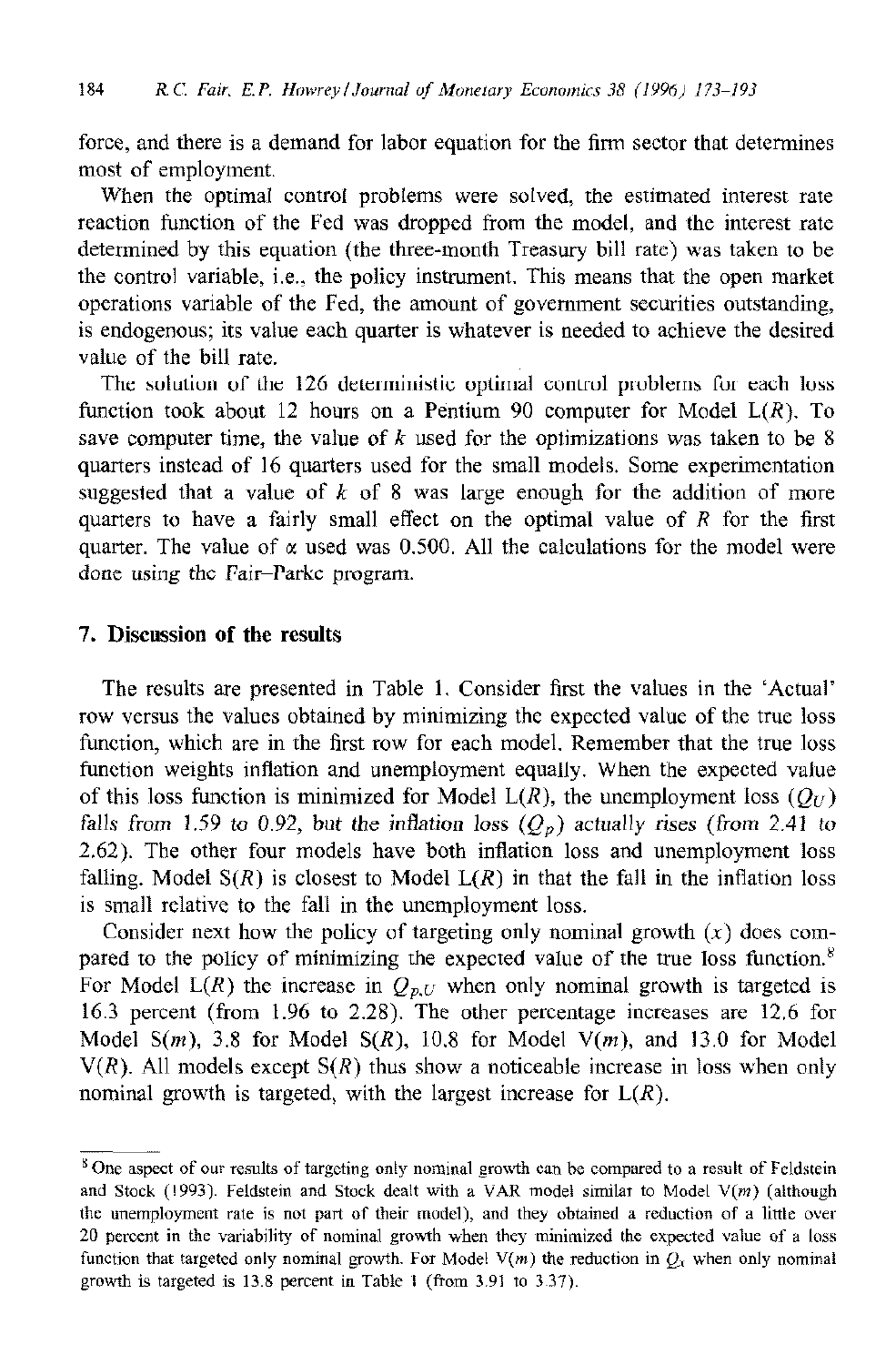force, and there is a demand for labor equation for the firm sector that determines most of employment.

When the optimal control problems were solved, the estimated interest rate reaction function of the Fed was dropped from the model, and the interest rate determined by this equation (the three-month Treasury bill rate) was taken to be the control variable, i.e., the policy instrument. This means that the open market operations variable of the Fed, the amount of government securities outstanding, is endogenous; its value each quarter is whatever is needed to achieve the desired value of the bill rate.

The solution of the 126 deterministic optimal control problems for each loss function took about 12 hours on a Pentium 90 computer for Model  $L(R)$ . To save computer time, the value of  $k$  used for the optimizations was taken to be  $8$ quarters instead of 16 quarters used for the small models. Some experimentation suggested that a value of  $k$  of 8 was large enough for the addition of more quarters to have a fairly small effect on the optimal value of  $R$  for the first quarter. The value of  $\alpha$  used was 0.500. All the calculations for the model were done using the Fair-Parke program.

## 7. Discussion of the results

The results are presented in Table 1. Consider first the values in the 'Actual' row versus the values obtained by minimizing the expected value of the true loss function, which are in the first row for each model. Remember that the true loss function weights inflation and unemployment equally. When the expected value of this loss function is minimized for Model  $L(R)$ , the unemployment loss  $(O_U)$ falls from 1.59 to 0.92, but the inflation loss  $(Q_p)$  actually rises (from 2.41 to 2.62). The other four models have both inflation loss and unemployment loss falling. Model  $S(R)$  is closest to Model  $L(R)$  in that the fall in the inflation loss is small relative to the fall in the unemployment loss.

Consider next how the policy of targeting only nominal growth  $(x)$  does compared to the policy of minimizing the expected value of the true loss function. $\delta$ For Model  $L(R)$  the increase in  $Q_{p,U}$  when only nominal growth is targeted is 16.3 percent (from I.Y6 to 2.28). The other percentage increases are 12.6 for Model S(m), 3.8 for Model *S(R),* 10.8 for Model V(m), and 13.0 for Model  $V(R)$ . All models except  $S(R)$  thus show a noticeable increase in loss when only nominal growth is targeted, with the largest increase for  $L(R)$ .

<sup>&</sup>lt;sup>8</sup> One aspect of our results of targeting only nominal growth can be compared to a result of Feldstein and Stock (1993). Feldstein and Stock dealt with a VAR model similar to Model  $V(m)$  (although the unemployment rate is not part of their model), and they obtained a reduction of a little over 20 percent in the variability of nominal growth when they minimized the expected value of a loss function that targeted only nominal growth. For Model  $V(m)$  the reduction in  $Q_x$  when only nominal growth is targeted is 13.8 percent in Table 1 (from 3.91 to 3.37).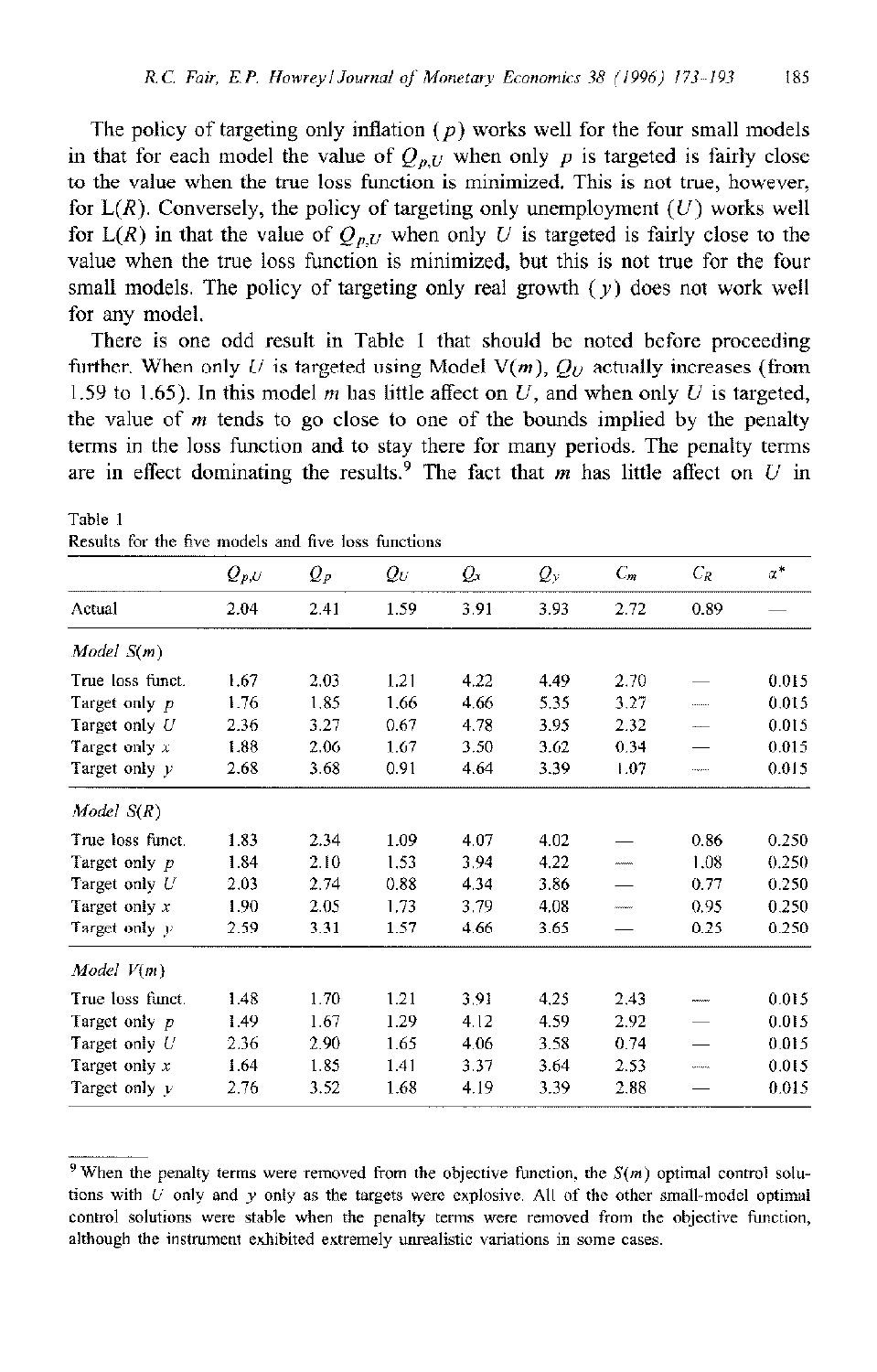The policy of targeting only inflation  $(p)$  works well for the four small models in that for each model the value of  $Q_{p,U}$  when only p is targeted is fairly close to the value when the true loss function is minimized. This is not true, however; for  $L(R)$ . Conversely, the policy of targeting only unemployment  $(U)$  works well for  $L(R)$  in that the value of  $Q_{n,U}$  when only U is targeted is fairly close to the value when the true loss function is minimized, but this is not true for the four small models. The policy of targeting only real growth  $(y)$  does not work well for any model.

There is one odd result in Table 1 that should bc noted before **proceeding**  further. When only U is targeted using Model  $V(m)$ ,  $Q_U$  actually increases (from 1.59 to 1.65). In this model m has little affect on  $U$ , and when only  $U$  is targeted, the value of  $m$  tends to go close to one of the bounds implied by the penalty terms in the loss function and to stay there for many periods. The penalty terms are in effect dominating the results.<sup>9</sup> The fact that m has little affect on U in

|                   | $Q_{p,U}$ | $\mathcal{Q}_P$ | $\varrho_{\scriptscriptstyle U}$ | $Q_x$ | $Q_{y}$ | $C_m$ | $C_R$       | $\alpha^*$ |
|-------------------|-----------|-----------------|----------------------------------|-------|---------|-------|-------------|------------|
| Actual            | 2.04      | 2.41            | 1.59                             | 3.91  | 3.93    | 2.72  | 0.89        |            |
| Model S(m)        |           |                 |                                  |       |         |       |             |            |
| True loss funct.  | 1.67      | 2.03            | 1.21                             | 4.22  | 4.49    | 2.70  |             | 0.015      |
| Target only p     | 1.76      | 1.85            | 1.66                             | 4.66  | 5.35    | 3.27  |             | 0.015      |
| Target only U     | 2.36      | 3.27            | 0.67                             | 4.78  | 3.95    | 2.32  |             | 0.015      |
| Target only $x$   | 1.88      | 2.06            | 1.67                             | 3.50  | 3.62    | 0.34  |             | 0.015      |
| Target only $y$   | 2.68      | 3.68            | 0.91                             | 4.64  | 3.39    | 1.07  | $m_{\rm W}$ | 0.015      |
| Model S(R)        |           |                 |                                  |       |         |       |             |            |
| True loss funct.  | 1.83      | 2.34            | 1.09                             | 4.07  | 4.02    |       | 0.86        | 0.250      |
| Target only p     | 1.84      | 2.10            | 1.53                             | 3.94  | 4.22    |       | 1.08        | 0.250      |
| Target only $U$   | 2.03      | 2.74            | 0.88                             | 4.34  | 3.86    |       | 0.77        | 0.250      |
| Target only $x$   | 1.90      | 2.05            | 1,73                             | 3.79  | 4.08    |       | 0.95        | 0.250      |
| Target only $y$   | 2.59      | 3.31            | 1.57                             | 4.66  | 3.65    |       | 0.25        | 0.250      |
| Model $V(m)$      |           |                 |                                  |       |         |       |             |            |
| True loss funct.  | 1.48      | 1.70            | 1.21                             | 3.91  | 4.25    | 2.43  |             | 0.015      |
| Target only p     | 1.49      | 1.67            | 1.29                             | 4.12  | 4.59    | 2.92  |             | 0.015      |
| Target only $U$   | 2.36      | 2.90            | 1.65                             | 4.06  | 3.58    | 0.74  |             | 0.015      |
| Target only $x$   | 1.64      | 1.85            | 1.41                             | 3.37  | 3.64    | 2.53  |             | 0.015      |
| Target only $\nu$ | 2.76      | 3.52            | 1.68                             | 4.19  | 3.39    | 2.88  |             | 0.015      |

|  |  |  |  | Results for the five models and five loss functions |
|--|--|--|--|-----------------------------------------------------|
|  |  |  |  |                                                     |

Table 1

<sup>&</sup>lt;sup>9</sup> When the penalty terms were removed from the objective function, the  $S(m)$  optimal control solutions with  $U$  only and  $y$  only as the targets were explosive. All of the other small-model optimal control solutions were stable when the penalty terms were removed from the objective function, although the instrument exhibited extremely unrealistic variations in some cases.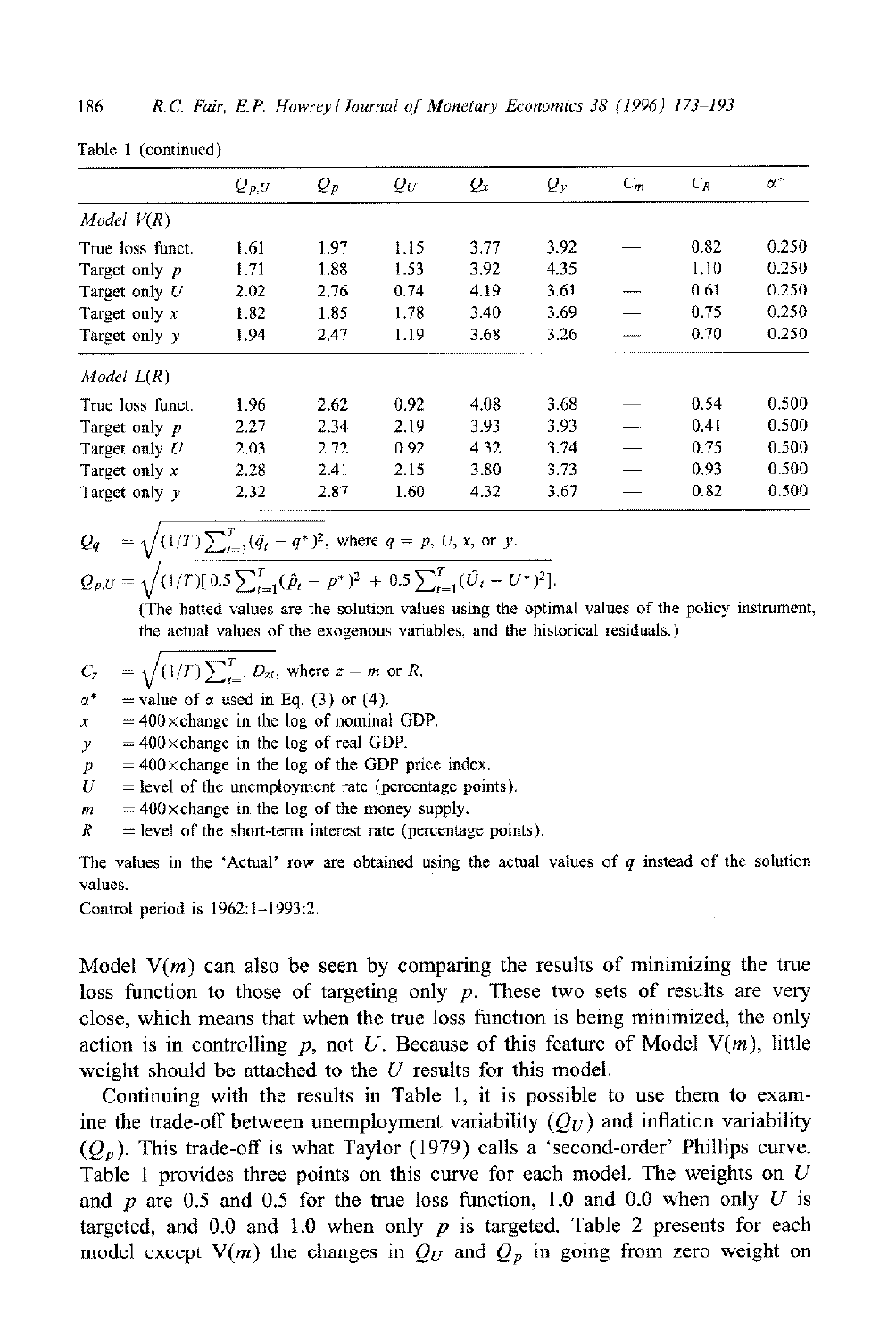|                   | $Q_{p,U}$ | $Q_p$ | $Q_U$ | $Q_x$ | Qу   | $C_n$ | $C_R$ | $\alpha^*$ |
|-------------------|-----------|-------|-------|-------|------|-------|-------|------------|
| Model $V(R)$      |           |       |       |       |      |       |       |            |
| True loss funct.  | 1.61      | 1.97  | 1.15  | 3.77  | 3.92 |       | 0.82  | 0.250      |
| Target only p     | 1.71      | 1.88  | 1.53  | 3.92  | 4.35 |       | 1.10  | 0.250      |
| Target only $U$   | 2.02      | 2.76  | 0.74  | 4.19  | 3.61 |       | 0.61  | 0.250      |
| Target only $x$   | 1.82      | 1.85  | 1.78  | 3.40  | 3.69 |       | 0.75  | 0.250      |
| Target only $y$   | 1.94      | 2.47  | 1.19  | 3.68  | 3.26 |       | 0.70  | 0.250      |
| $Model$ $L(R)$    |           |       |       |       |      |       |       |            |
| True loss funct.  | 1.96      | 2.62  | 0.92  | 4.08  | 3.68 |       | 0.54  | 0.500      |
| Target only p     | 2.27      | 2.34  | 2.19  | 3.93  | 3.93 |       | 0.41  | 0.500      |
| Target only $U$   | 2.03      | 2.72  | 0.92  | 4.32  | 3.74 |       | 0.75  | 0.500      |
| Target only $x$   | 2.28      | 2.41  | 2.15  | 3.80  | 3.73 | ستت   | 0.93  | 0.500      |
| Target only $\nu$ | 2.32      | 2.87  | 1.60  | 4.32  | 3.67 |       | 0.82  | 0.500      |

Table 1 (continued)

$$
Q_q = \sqrt{(1/T)\sum_{t=1}^T (\hat{q}_t - q^*)^2}
$$
, where  $q = p$ , *U*, *x*, or *y*.  
\n
$$
Q_{p,U} = \sqrt{(1/T)[0.5\sum_{t=1}^T (\hat{p}_t - p^*)^2 + 0.5\sum_{t=1}^T (\hat{U}_t - U^*)^2]}
$$
\n. The beta value are the solution values using the entire

(The hatted values are the solution values using the optimal values of the policy instrument, the actual values of the exogenous variables, and the historical residuals.)

$$
C_z = \sqrt{(1/T) \sum_{t=1}^T D_{zt}}
$$
, where  $z = m$  or R

 $\alpha^*$ = value of  $\alpha$  used in Eq. (3) or (4).

 $=$  400 $\times$ change in the log of nominal GDP.  $\mathfrak{x}$ 

 $= 400 \times$ change in the log of real GDP.  $\mathcal{V}$ 

 $= 400 \times \text{change}$  in the log of the GDP price index. p

 $=$  level of the unemployment rate (percentage points).  $\boldsymbol{U}$ 

 $= 400 \times \text{change}$  in the log of the money supply.  $\boldsymbol{m}$ 

 $=$  level of the short-term interest rate (percentage points). R

The values in the 'Actual' row are obtained using the actual values of  $q$  instead of the solution values.

Control period is 1962:1-1993:2.

Model  $V(m)$  can also be seen by comparing the results of minimizing the true loss function to those of targeting only  $p$ . These two sets of results are very close, which means that when the true loss function is being minimized, the only action is in controlling p, not U. Because of this feature of Model  $V(m)$ , little weight should be attached to the  $U$  results for this model.

Continuing with the results in Table 1, it is possible to use them to examine the trade-off between unemployment variability  $(Q_U)$  and inflation variability  $(Q_p)$ . This trade-off is what Taylor (1979) calls a 'second-order' Phillips curve. Table 1 provides three points on this curve for each model. The weights on  $U$ and  $p$  are 0.5 and 0.5 for the true loss function, 1.0 and 0.0 when only  $U$  is targeted, and 0.0 and 1.0 when only  $p$  is targeted. Table 2 presents for each model except  $V(m)$  the changes in  $Q_U$  and  $Q_p$  in going from zero weight on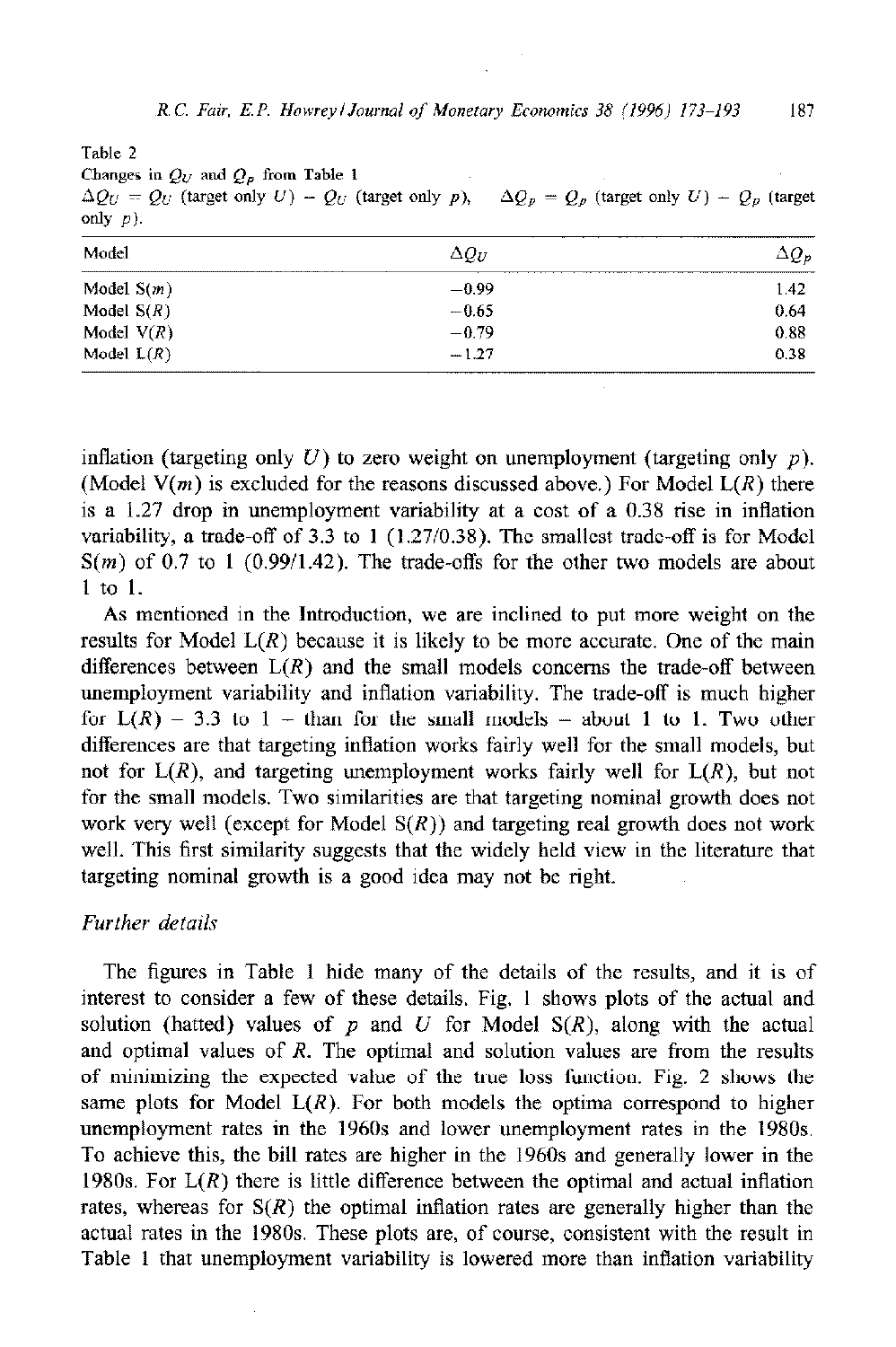Table 2 Changes in  $Q_U$  and  $Q_p$  from Table 1  $\Delta Q_U = Q_U$  (target only  $U - Q_U$  (target only p),  $\Delta Q_p = Q_p$  (target only  $U - Q_p$  (target only  $p$ ).

| Model        | $\Delta O_U$ | $\Delta Q_{\it p}$ |  |
|--------------|--------------|--------------------|--|
| Model $S(m)$ | $-0.99$      | 1.42               |  |
| Model $S(R)$ | $-0.65$      | 0.64               |  |
| Model $V(R)$ | $-0.79$      | 0.88               |  |
| Model $L(R)$ | $-1.27$      | 0.38               |  |

inflation (targeting only U) to zero weight on unemployment (targeting only  $p$ ). (Model  $V(m)$  is excluded for the reasons discussed above.) For Model  $L(R)$  there is a 1.27 drop in unemployment variability at a cost of a 0.38 rise in inflation variability, a trade-off of 3.3 to 1 (1.27/0.38). The smallest trade-off is for Model  $S(m)$  of 0.7 to 1 (0.99/1.42). The trade-offs for the other two models are about 1 to 1.

As mentioned in the Introduction, we are inclined to put more weight on the results for Model  $L(R)$  because it is likely to be more accurate. One of the main differences between  $L(R)$  and the small models concerns the trade-off between unemployment variability and inflation variability. The trade-off is much higher for  $L(R)$  - 3.3 to 1 - than for the small models - about 1 to 1. Two other differences are that targeting inflation works fairly well for the small models, but not for  $L(R)$ , and targeting unemployment works fairly well for  $L(R)$ , but not for the small models. Two similarities are that targeting nominal growth does not work very well (except for Model  $S(R)$ ) and targeting real growth does not work well. This first similarity suggests that the widely held view in the literature that targeting nominal growth is a good idea may not be right.

### *Further details*

The figures in Table 1 hide many of the details of the results, and it is of interest to consider a few of these details. Fig. 1 shows plots of the actual and solution (hatted) values of  $p$  and  $U$  for Model  $S(R)$ , along with the actual and optimal values of R. The optimal and solution values are from the results of minimizing the expected value of the true loss function. Fig. 2 shows the same plots for Model  $L(R)$ . For both models the optima correspond to higher unemployment rates in the 1960s and lower unemployment rates in the 1980s. To achieve this, the bill rates are higher in the 1960s and generally lower in the 1980s. For  $L(R)$  there is little difference between the optimal and actual inflation rates, whereas for  $S(R)$  the optimal inflation rates are generally higher than the actual rates in the 1980s. These plots are, of course, consistent with the result in Table 1 that unemployment variability is lowered more than inflation variability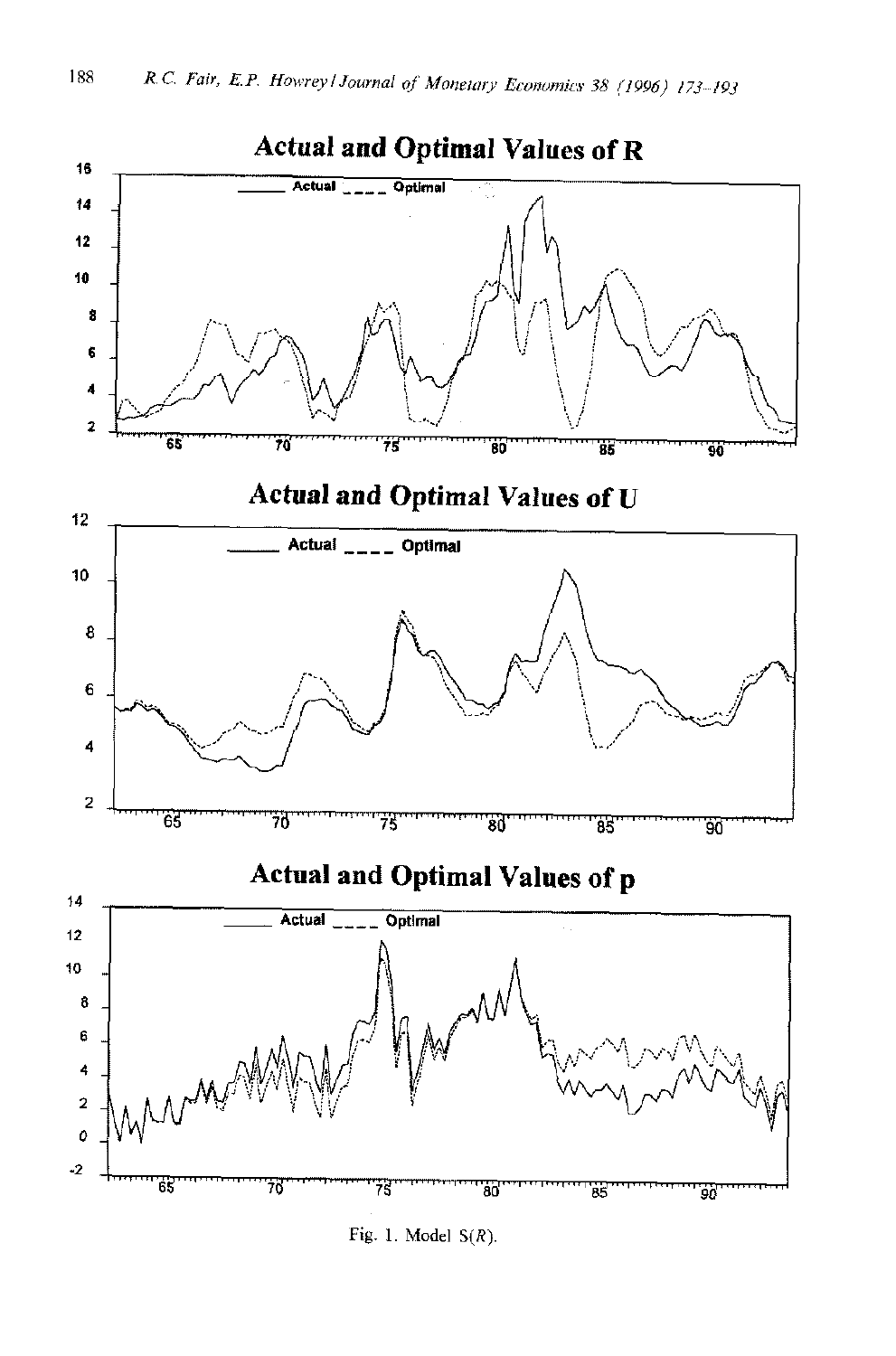

Fig. 1. Model  $S(R)$ .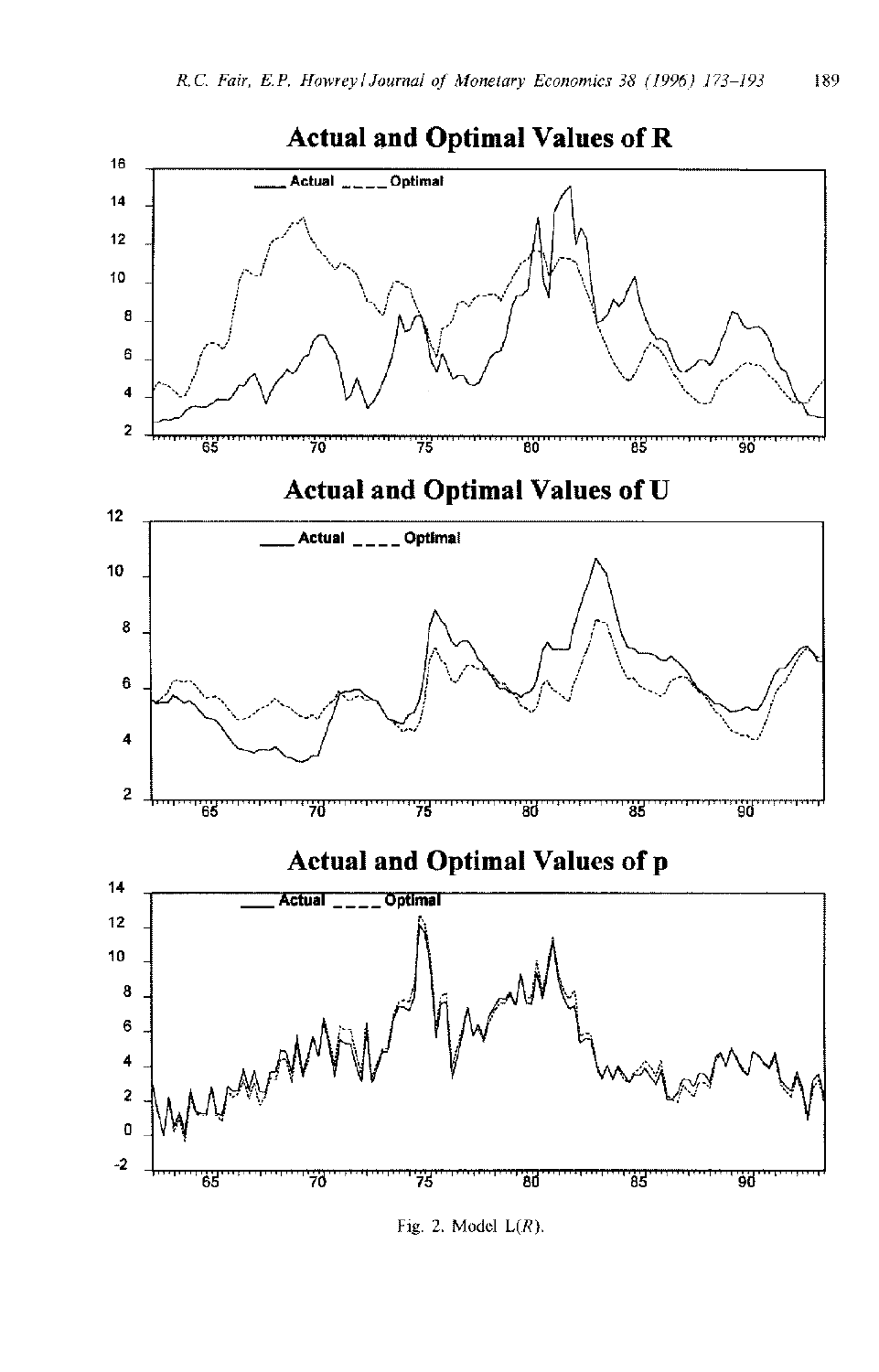

Fig. 2. Model  $L(R)$ .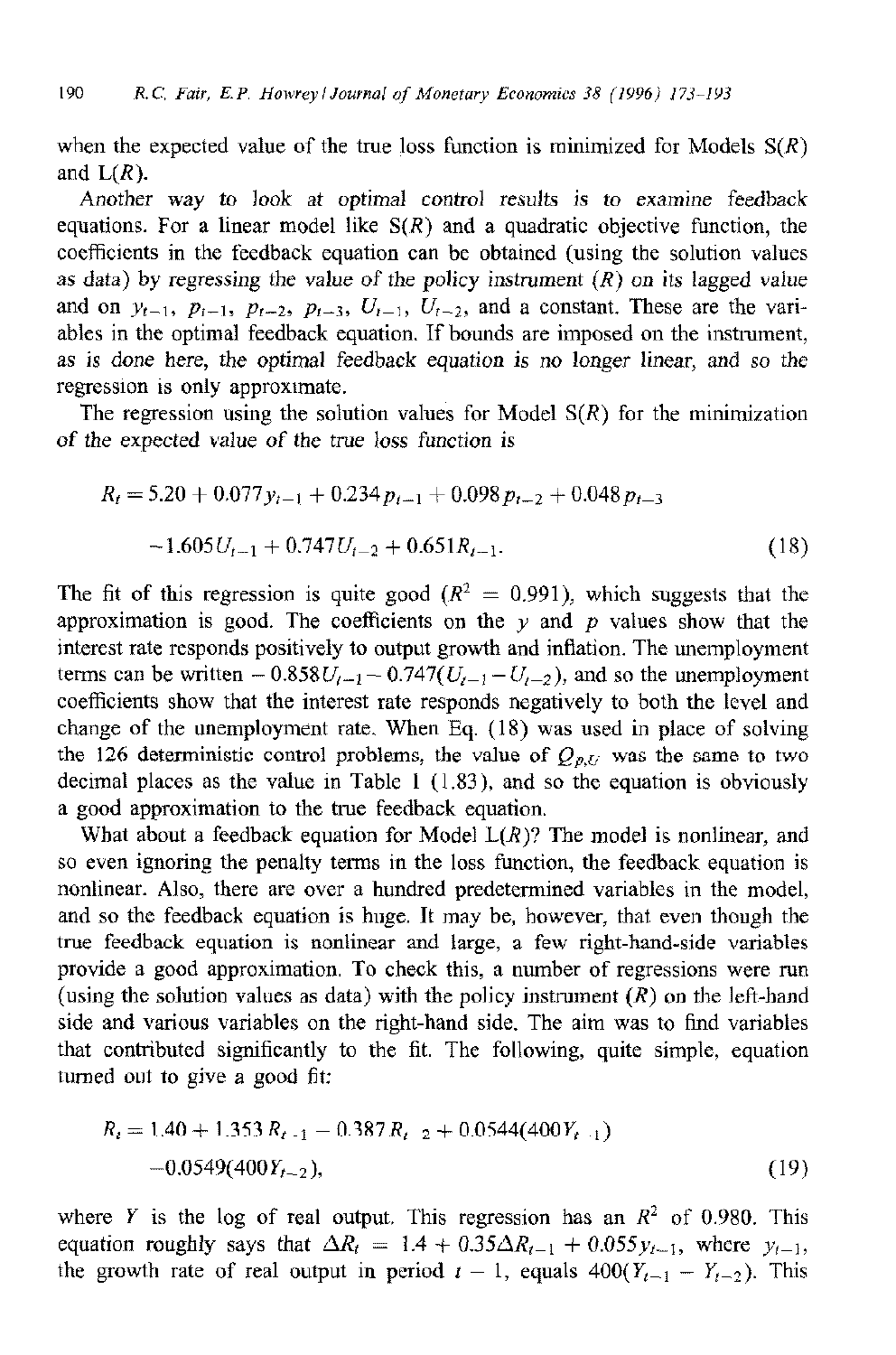when the expected value of the true loss function is minimized for Models  $S(R)$ and  $L(R)$ .

Another way to look at optimal control results is to examine feedback equations. For a linear model like  $S(R)$  and a quadratic objective function, the coefficients in the feedback equation can be obtained (using the solution values as data) by regressing the value of the policy instrument  $(R)$  on its lagged value and on  $y_{t-1}$ ,  $p_{t-1}$ ,  $p_{t-2}$ ,  $p_{t-3}$ ,  $U_{t-1}$ ,  $U_{t-2}$ , and a constant. These are the variables in the optimal feedback equation. If bounds are imposed on the instrument, as is done here, the optimal feedback equation is no longer linear, and so the regression is only approximate.

The regression using the solution values for Model *S(R)* for the minimization of the expected value of the true loss function *is* 

$$
R_{t} = 5.20 + 0.077y_{t-1} + 0.234p_{t-1} + 0.098p_{t-2} + 0.048p_{t-3}
$$
  
-1.605U<sub>t-1</sub> + 0.747U<sub>t-2</sub> + 0.651R<sub>t-1</sub>. (18)

The fit of this regression is quite good ( $R^2 = 0.991$ ), which suggests that the approximation is good. The coefficients on the  $y$  and  $p$  values show that the interest rate responds positively to output growth and inflation. The unemployment terms can be written  $-0.858U_{t-1} - 0.747(U_{t-1} - U_{t-2})$ , and so the unemployment coefficients show that the interest rate responds negatively to both the level and change of the unemployment rate. When Eq. (18) was used in place of solving the 126 deterministic control problems, the value of  $Q_{p,t}$  was the same to two decimal places as the value in Table 1  $(1.83)$ , and so the equation is obviously a good approximation to the true feedback equation.

What about a feedback equation for Model  $L(R)$ ? The model is nonlinear, and so even ignoring the penalty terms in the loss function, the feedback equation is **nonlinear. Also,** there are over a hundred predetermined variables in the model, and so the feedback equation is huge. It may be, however, that even though the true feedback equation is nonlinear and large, a few right-hand-side variables provide a good approximation. To check this, a number of regressions were run (using the solution values as data) with the policy instrument  $(R)$  on the left-hand side and various variables on the right-hand side. The aim was to find variables that contributed significantly to the fit. The following, quite simple, equation tuned out to give a good fit:

$$
R_{i} = 1.40 + 1.353 R_{i-1} - 0.387 R_{i-2} + 0.0544(400Y_{i-1}) -0.0549(400Y_{i-2}),
$$
\n(19)

where Y is the log of real output. This regression has an  $R^2$  of 0.980. This equation roughly says that  $\Delta R_t = 1.4 + 0.35\Delta R_{t-1} + 0.055y_{t-1}$ , where  $y_{t-1}$ , the growth rate of real output in period  $t - 1$ , equals  $400(Y_{t-1} - Y_{t-2})$ . This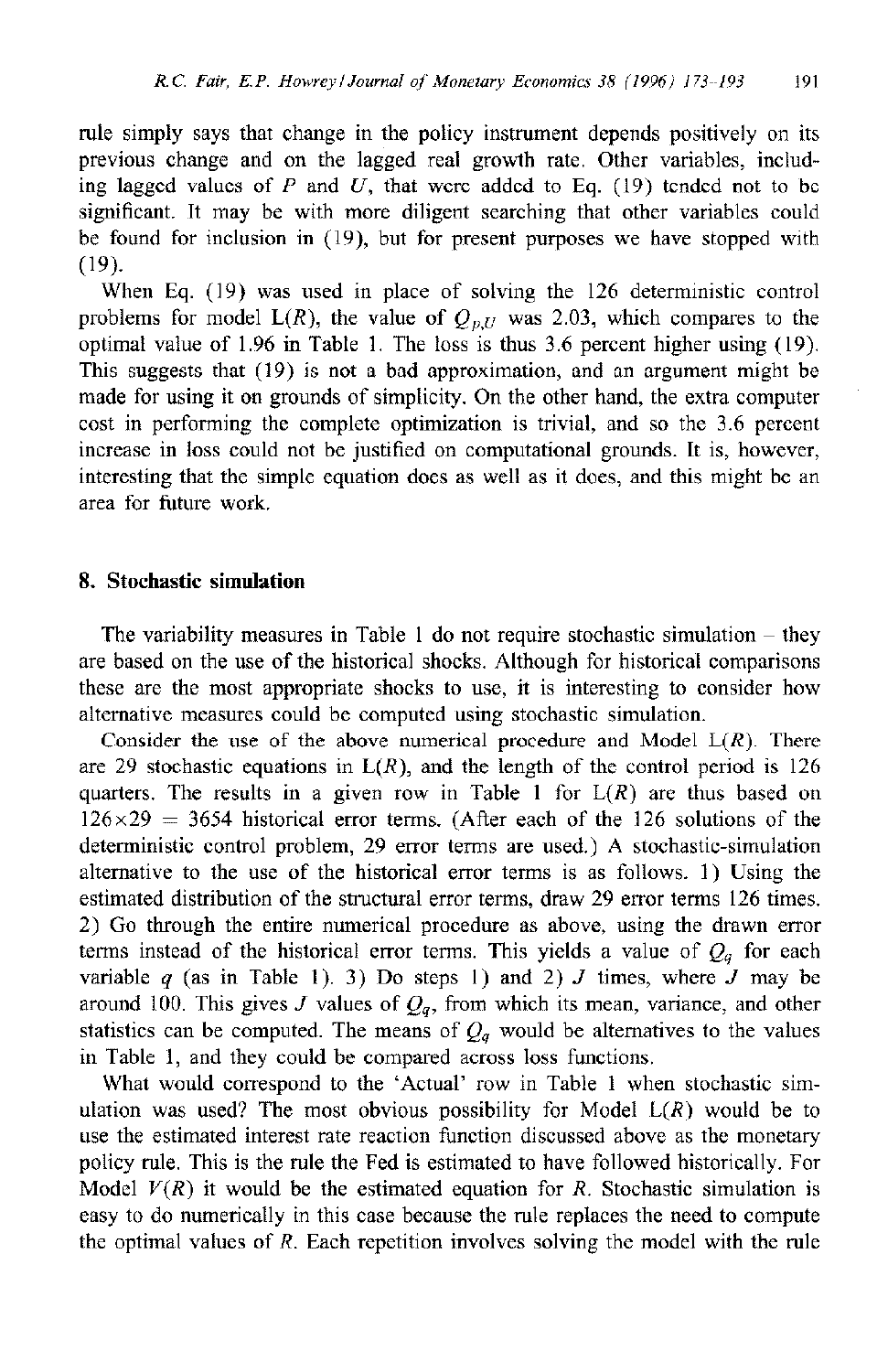rule simply says that change in the policy instrument depends positively on its previous change and on the lagged real growth rate. Other variables, including lagged values of  $P$  and  $U$ , that were added to Eq.  $(19)$  tended not to be significant. It may be with more diligent searching that other variables could be found for inclusion in (19), but for present purposes we have stopped with (19).

When Eq. (19) was used in place of solving the 126 deterministic control problems for model  $L(R)$ , the value of  $Q_{p,U}$  was 2.03, which compares to the optimal value of 1.96 in Table 1. The loss is thus 3.6 percent higher using (19). This suggests that (19) is not a bad approximation, and an argument might be made for using it on grounds of simplicity On the other hand, the extra computer cost in performing the complete optimization is trivial, and so the 3.6 percent increase in loss could not be justified on computational grounds. It is, however, interesting that the simple equation does as well as it does, and this might be an area for future work.

### 8. Stochastic simulation

The variability measures in Table 1 do not require stochastic simulation  $-$  they are based on the use of the historical shocks. Although for historical comparisons these are the most appropriate shocks to use, it is interesting to consider how alternative measures could be computed using stochastic simulation.

Consider the use of the above numerical procedure and Model  $L(R)$ . There are 29 stochastic equations in  $L(R)$ , and the length of the control period is 126 quarters. The results in a given row in Table I for *L(R) are* thus based on  $126\times29 = 3654$  historical error terms. (After each of the 126 solutions of the deterministic control problem, 29 error terms are used.) A stochastic-simulation alternative to the use of the historical error terms is as follows. 1) Using the estimated distribution of the structural error terms, draw 29 error terms 126 times. 2) Go through the entire numerical procedure as above, using the drawn error terms instead of the historical error terms. This yields a value of  $Q<sub>a</sub>$  for each variable  $q$  (as in Table 1). 3) Do steps 1) and 2)  $J$  times, where  $J$  may be around 100. This gives  $J$  values of  $Q_q$ , from which its mean, variance, and other statistics can be computed. The means of  $Q_q$  would be alternatives to the values in Table I, and they could be compared across loss functions.

What would correspond to the 'Actual' row in Table 1 when stochastic simulation was used? The most obvious possibility for Model  $L(R)$  would be to use the estimated interest rate reaction function discussed above as the monetary policy rule. This is the rule the Fed is estimated to have followed historically. For Model  $V(R)$  it would be the estimated equation for R. Stochastic simulation is easy to do numerically in this case because the rule replaces the need to compute the optimal values of *R.* Each repetition involves solving the model with the rule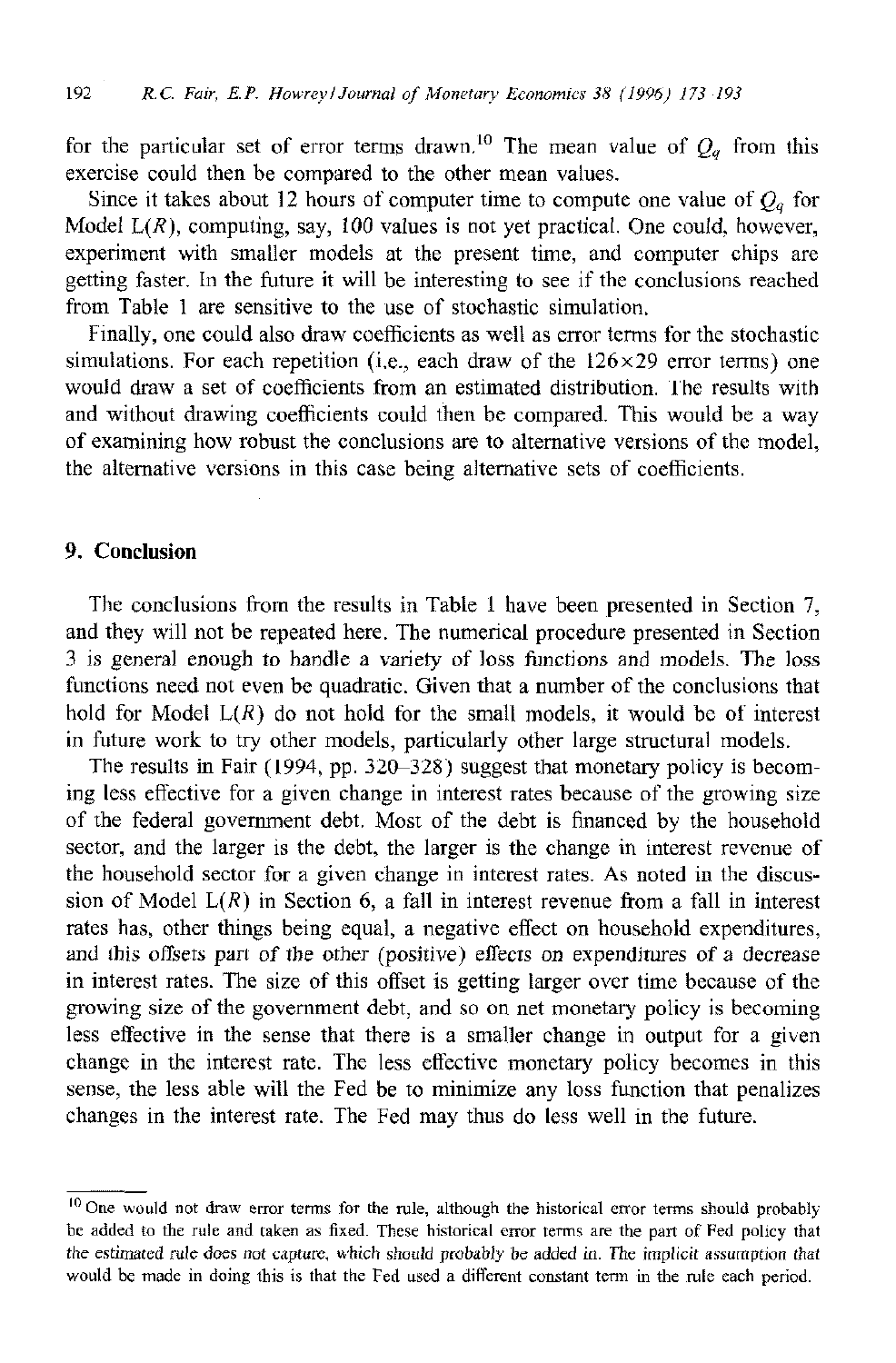for the particular set of error terms drawn.<sup>10</sup> The mean value of  $Q_q$  from this exercise could then be compared to the other mean values.

Since it takes about 12 hours of computer time to compute one value of  $Q_a$  for Model  $L(R)$ , computing, say, 100 values is not yet practical. One could, however, experiment with smaller models at the present time, and computer chips are getting faster. In the future it will be interesting to see if the conclusions reached from Table I are sensitive to the use of stochastic simulation.

Finally, one could also draw coefficients as well as error terms for the stochastic simulations. For each repetition (i.e., each draw of the  $126 \times 29$  error terms) one would draw a set of coefficients from an estimated distribution. The results with and without drawing coeficients could then be compared. This would be a way of examining how robust the conclusions are to alternative versions of the model, the alternative versions in this case being alternative sets of coefficients.

## 9. **Conclusion**

The conclusions from the results in Table I have been presented in Section 7; and they will not be repeated here. The numerical procedure presented in Section 3 is general enough to handle a variety of loss functions and models. The loss functions need not even be quadratic. Given that a number of the conclusions that hold for Model  $L(R)$  do not hold for the small models, it would be of interest in future work to try other models, particularly other large structural models.

The results in Fair  $(1994, pp. 320-328)$  suggest that monetary policy is becoming less effective **for a** given change in interest rates because of the growing size of the federal government debt. Most of the debt is financed by the household sector, and the larger is the debt, the larger is the change in interest revenue of the household sector **for a** given change in interest rates. As noted in the discussion of Model  $L(R)$  in Section 6, a fall in interest revenue from a fall in interest rates has, other things being equal, a negative effect on household expenditures, and this offsets part of the other (positive) effects on expenditures of a decrease in interest rates. The size of this offset is getting larger over time because of the growing size of the government debt, and so on net monetary policy is becoming less effective in the sense that there is a smaller change in output for a given change in the interest rate. The less effective monetary policy becomes in this sense, the less able will the Fed be to minimize any loss function that penalizes changes in the interest rate. The Fed may thus do less well in the future.

 $10$  One would not draw error terms for the rule, although the historical error terms should probably be added to the rule and taken as fixed. These historical error terms are the part of Fed policy that the estimated rule does not capture, which should probably be added in. The implicit assumption that would be made in doing this is that the Fed used a different constant term in the rule each period.